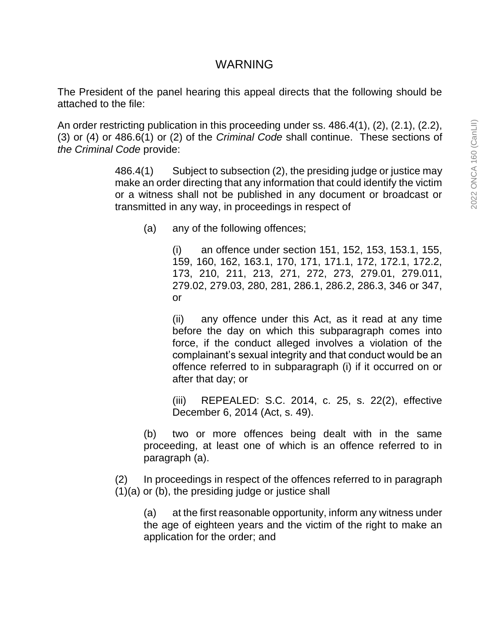# WARNING

The President of the panel hearing this appeal directs that the following should be attached to the file:

An order restricting publication in this proceeding under ss. 486.4(1), (2), (2.1), (2.2), (3) or (4) or 486.6(1) or (2) of the *Criminal Code* shall continue. These sections of *the Criminal Code* provide:

> 486.4(1) Subject to subsection (2), the presiding judge or justice may make an order directing that any information that could identify the victim or a witness shall not be published in any document or broadcast or transmitted in any way, in proceedings in respect of

(a) any of the following offences;

(i) an offence under section 151, 152, 153, 153.1, 155, 159, 160, 162, 163.1, 170, 171, 171.1, 172, 172.1, 172.2, 173, 210, 211, 213, 271, 272, 273, 279.01, 279.011, 279.02, 279.03, 280, 281, 286.1, 286.2, 286.3, 346 or 347, or

(ii) any offence under this Act, as it read at any time before the day on which this subparagraph comes into force, if the conduct alleged involves a violation of the complainant's sexual integrity and that conduct would be an offence referred to in subparagraph (i) if it occurred on or after that day; or

(iii) REPEALED: S.C. 2014, c. 25, s. 22(2), effective December 6, 2014 (Act, s. 49).

(b) two or more offences being dealt with in the same proceeding, at least one of which is an offence referred to in paragraph (a).

(2) In proceedings in respect of the offences referred to in paragraph (1)(a) or (b), the presiding judge or justice shall

(a) at the first reasonable opportunity, inform any witness under the age of eighteen years and the victim of the right to make an application for the order; and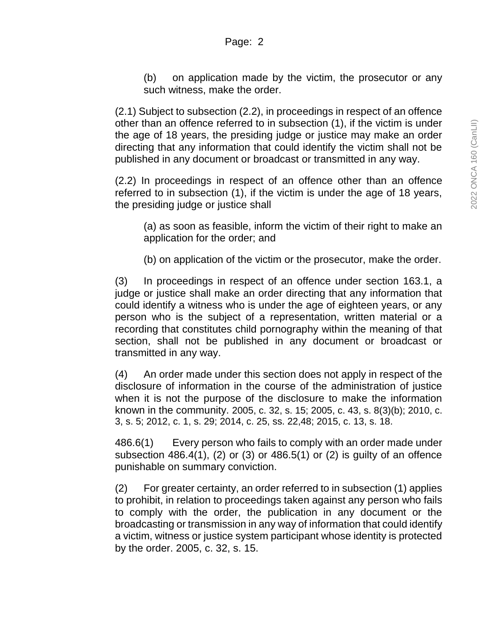(b) on application made by the victim, the prosecutor or any such witness, make the order.

(2.1) Subject to subsection (2.2), in proceedings in respect of an offence other than an offence referred to in subsection (1), if the victim is under the age of 18 years, the presiding judge or justice may make an order directing that any information that could identify the victim shall not be published in any document or broadcast or transmitted in any way.

(2.2) In proceedings in respect of an offence other than an offence referred to in subsection (1), if the victim is under the age of 18 years, the presiding judge or justice shall

(a) as soon as feasible, inform the victim of their right to make an application for the order; and

(b) on application of the victim or the prosecutor, make the order.

(3) In proceedings in respect of an offence under section 163.1, a judge or justice shall make an order directing that any information that could identify a witness who is under the age of eighteen years, or any person who is the subject of a representation, written material or a recording that constitutes child pornography within the meaning of that section, shall not be published in any document or broadcast or transmitted in any way.

(4) An order made under this section does not apply in respect of the disclosure of information in the course of the administration of justice when it is not the purpose of the disclosure to make the information known in the community. 2005, c. 32, s. 15; 2005, c. 43, s. 8(3)(b); 2010, c. 3, s. 5; 2012, c. 1, s. 29; 2014, c. 25, ss. 22,48; 2015, c. 13, s. 18.

486.6(1) Every person who fails to comply with an order made under subsection 486.4(1), (2) or (3) or 486.5(1) or (2) is guilty of an offence punishable on summary conviction.

(2) For greater certainty, an order referred to in subsection (1) applies to prohibit, in relation to proceedings taken against any person who fails to comply with the order, the publication in any document or the broadcasting or transmission in any way of information that could identify a victim, witness or justice system participant whose identity is protected by the order. 2005, c. 32, s. 15.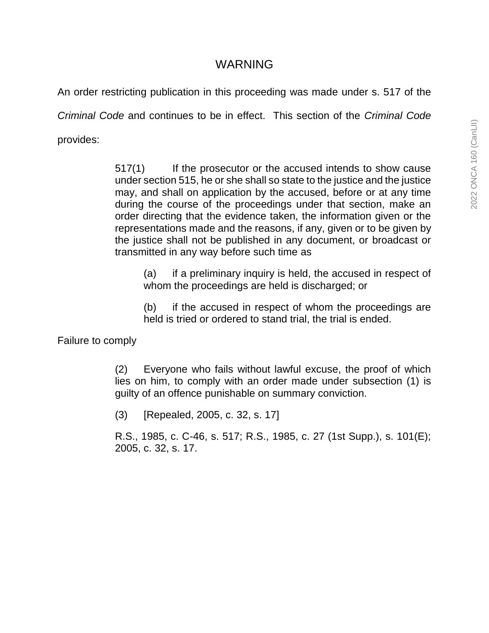# WARNING

An order restricting publication in this proceeding was made under s. 517 of the

*Criminal Code* and continues to be in effect. This section of the *Criminal Code*

provides:

517(1) If the prosecutor or the accused intends to show cause under section 515, he or she shall so state to the justice and the justice may, and shall on application by the accused, before or at any time during the course of the proceedings under that section, make an order directing that the evidence taken, the information given or the representations made and the reasons, if any, given or to be given by the justice shall not be published in any document, or broadcast or transmitted in any way before such time as

(a) if a preliminary inquiry is held, the accused in respect of whom the proceedings are held is discharged; or

(b) if the accused in respect of whom the proceedings are held is tried or ordered to stand trial, the trial is ended.

Failure to comply

(2) Everyone who fails without lawful excuse, the proof of which lies on him, to comply with an order made under subsection (1) is guilty of an offence punishable on summary conviction.

(3) [Repealed, 2005, c. 32, s. 17]

R.S., 1985, c. C-46, s. 517; R.S., 1985, c. 27 (1st Supp.), s. 101(E); 2005, c. 32, s. 17.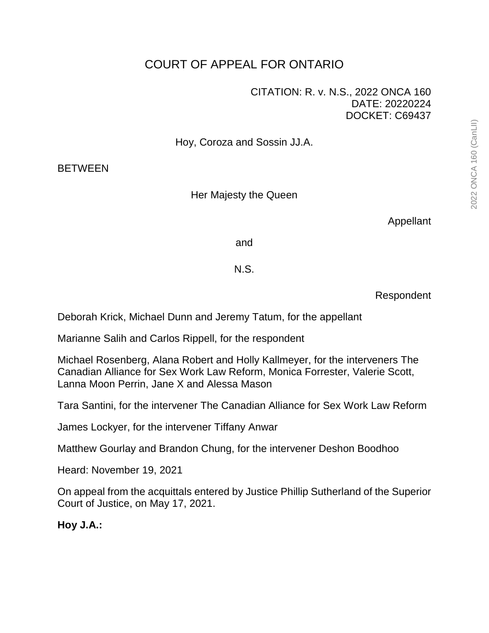# COURT OF APPEAL FOR ONTARIO

### CITATION: R. v. N.S., 2022 ONCA 160 DATE: 20220224 DOCKET: C69437

Hoy, Coroza and Sossin JJ.A.

**BETWEEN** 

Her Majesty the Queen

Appellant

and

# N.S.

Respondent

Deborah Krick, Michael Dunn and Jeremy Tatum, for the appellant

Marianne Salih and Carlos Rippell, for the respondent

Michael Rosenberg, Alana Robert and Holly Kallmeyer, for the interveners The Canadian Alliance for Sex Work Law Reform, Monica Forrester, Valerie Scott, Lanna Moon Perrin, Jane X and Alessa Mason

Tara Santini, for the intervener The Canadian Alliance for Sex Work Law Reform

James Lockyer, for the intervener Tiffany Anwar

Matthew Gourlay and Brandon Chung, for the intervener Deshon Boodhoo

Heard: November 19, 2021

On appeal from the acquittals entered by Justice Phillip Sutherland of the Superior Court of Justice, on May 17, 2021.

**Hoy J.A.:**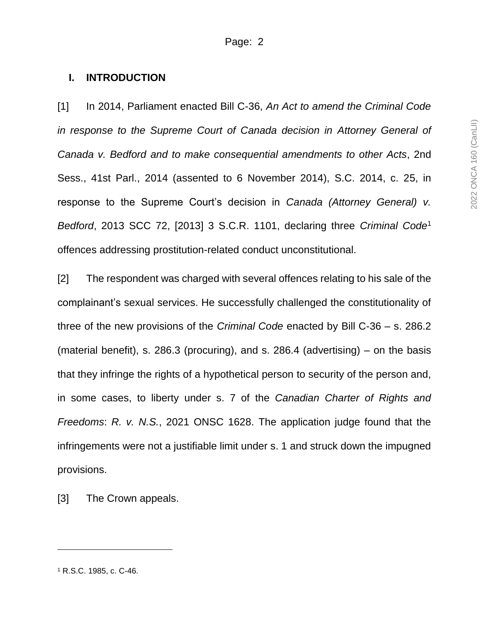#### **I. INTRODUCTION**

[1] In 2014, Parliament enacted Bill C-36, *An Act to amend the Criminal Code in response to the Supreme Court of Canada decision in Attorney General of Canada v. Bedford and to make consequential amendments to other Acts*, 2nd Sess., 41st Parl., 2014 (assented to 6 November 2014), S.C. 2014, c. 25, in response to the Supreme Court's decision in *Canada (Attorney General) v. Bedford*, 2013 SCC 72, [2013] 3 S.C.R. 1101, declaring three *Criminal Code* 1 offences addressing prostitution-related conduct unconstitutional.

[2] The respondent was charged with several offences relating to his sale of the complainant's sexual services. He successfully challenged the constitutionality of three of the new provisions of the *Criminal Code* enacted by Bill C-36 – s. 286.2 (material benefit), s. 286.3 (procuring), and s. 286.4 (advertising) – on the basis that they infringe the rights of a hypothetical person to security of the person and, in some cases, to liberty under s. 7 of the *Canadian Charter of Rights and Freedoms*: *R. v. N.S.*, 2021 ONSC 1628. The application judge found that the infringements were not a justifiable limit under s. 1 and struck down the impugned provisions.

[3] The Crown appeals.

 $\overline{a}$ 

<sup>1</sup> R.S.C. 1985, c. C-46.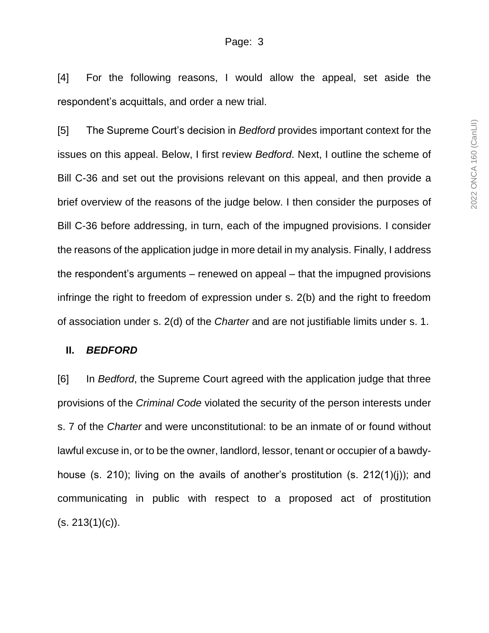[4] For the following reasons, I would allow the appeal, set aside the respondent's acquittals, and order a new trial.

[5] The Supreme Court's decision in *Bedford* provides important context for the issues on this appeal. Below, I first review *Bedford*. Next, I outline the scheme of Bill C-36 and set out the provisions relevant on this appeal, and then provide a brief overview of the reasons of the judge below. I then consider the purposes of Bill C-36 before addressing, in turn, each of the impugned provisions. I consider the reasons of the application judge in more detail in my analysis. Finally, I address the respondent's arguments – renewed on appeal – that the impugned provisions infringe the right to freedom of expression under s. 2(b) and the right to freedom of association under s. 2(d) of the *Charter* and are not justifiable limits under s. 1.

#### **II.** *BEDFORD*

[6] In *Bedford*, the Supreme Court agreed with the application judge that three provisions of the *Criminal Code* violated the security of the person interests under s. 7 of the *Charter* and were unconstitutional: to be an inmate of or found without lawful excuse in, or to be the owner, landlord, lessor, tenant or occupier of a bawdyhouse (s. 210); living on the avails of another's prostitution (s. 212(1)(j)); and communicating in public with respect to a proposed act of prostitution  $(s. 213(1)(c)).$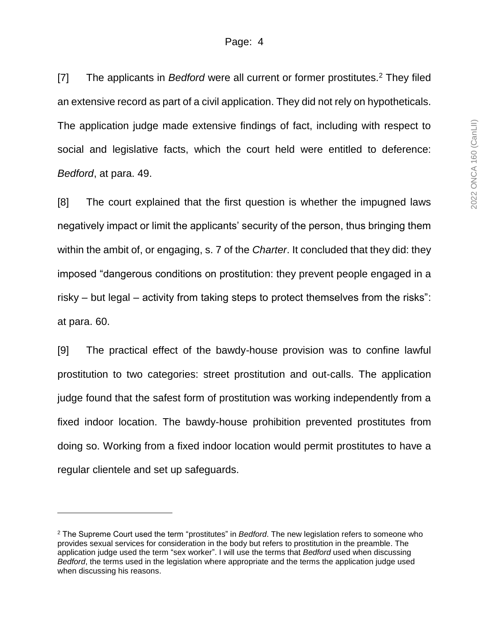[7] The applicants in *Bedford* were all current or former prostitutes.<sup>2</sup> They filed an extensive record as part of a civil application. They did not rely on hypotheticals. The application judge made extensive findings of fact, including with respect to social and legislative facts, which the court held were entitled to deference: *Bedford*, at para. 49.

[8] The court explained that the first question is whether the impugned laws negatively impact or limit the applicants' security of the person, thus bringing them within the ambit of, or engaging, s. 7 of the *Charter*. It concluded that they did: they imposed "dangerous conditions on prostitution: they prevent people engaged in a risky – but legal – activity from taking steps to protect themselves from the risks": at para. 60.

[9] The practical effect of the bawdy-house provision was to confine lawful prostitution to two categories: street prostitution and out-calls. The application judge found that the safest form of prostitution was working independently from a fixed indoor location. The bawdy-house prohibition prevented prostitutes from doing so. Working from a fixed indoor location would permit prostitutes to have a regular clientele and set up safeguards.

 $\overline{a}$ 

<sup>2</sup> The Supreme Court used the term "prostitutes" in *Bedford*. The new legislation refers to someone who provides sexual services for consideration in the body but refers to prostitution in the preamble. The application judge used the term "sex worker". I will use the terms that *Bedford* used when discussing *Bedford*, the terms used in the legislation where appropriate and the terms the application judge used when discussing his reasons.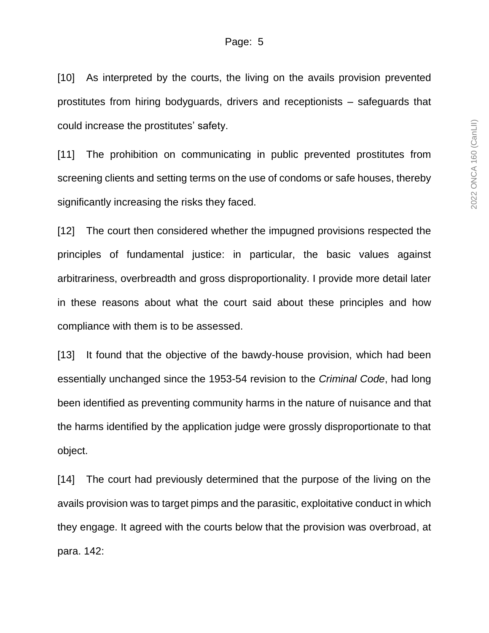[10] As interpreted by the courts, the living on the avails provision prevented prostitutes from hiring bodyguards, drivers and receptionists – safeguards that could increase the prostitutes' safety.

[11] The prohibition on communicating in public prevented prostitutes from screening clients and setting terms on the use of condoms or safe houses, thereby significantly increasing the risks they faced.

[12] The court then considered whether the impugned provisions respected the principles of fundamental justice: in particular, the basic values against arbitrariness, overbreadth and gross disproportionality. I provide more detail later in these reasons about what the court said about these principles and how compliance with them is to be assessed.

[13] It found that the objective of the bawdy-house provision, which had been essentially unchanged since the 1953-54 revision to the *Criminal Code*, had long been identified as preventing community harms in the nature of nuisance and that the harms identified by the application judge were grossly disproportionate to that object.

[14] The court had previously determined that the purpose of the living on the avails provision was to target pimps and the parasitic, exploitative conduct in which they engage. It agreed with the courts below that the provision was overbroad, at para. 142: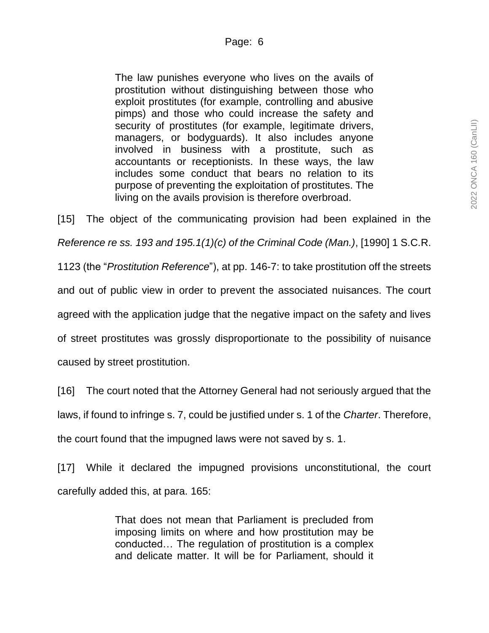The law punishes everyone who lives on the avails of prostitution without distinguishing between those who exploit prostitutes (for example, controlling and abusive pimps) and those who could increase the safety and security of prostitutes (for example, legitimate drivers, managers, or bodyguards). It also includes anyone involved in business with a prostitute, such as accountants or receptionists. In these ways, the law includes some conduct that bears no relation to its purpose of preventing the exploitation of prostitutes. The living on the avails provision is therefore overbroad.

[15] The object of the communicating provision had been explained in the *Reference re ss. 193 and 195.1(1)(c) of the Criminal Code (Man.)*, [1990] 1 S.C.R. 1123 (the "*Prostitution Reference*"), at pp. 146-7: to take prostitution off the streets and out of public view in order to prevent the associated nuisances. The court agreed with the application judge that the negative impact on the safety and lives of street prostitutes was grossly disproportionate to the possibility of nuisance caused by street prostitution.

[16] The court noted that the Attorney General had not seriously argued that the laws, if found to infringe s. 7, could be justified under s. 1 of the *Charter*. Therefore, the court found that the impugned laws were not saved by s. 1.

[17] While it declared the impugned provisions unconstitutional, the court carefully added this, at para. 165:

> That does not mean that Parliament is precluded from imposing limits on where and how prostitution may be conducted… The regulation of prostitution is a complex and delicate matter. It will be for Parliament, should it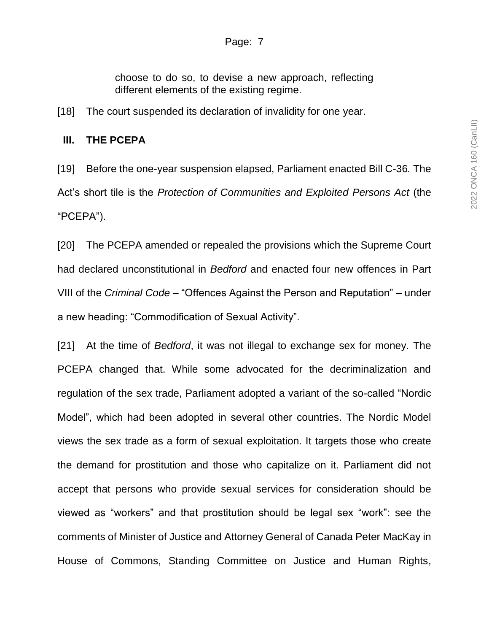choose to do so, to devise a new approach, reflecting different elements of the existing regime.

[18] The court suspended its declaration of invalidity for one year.

#### **III. THE PCEPA**

[19] Before the one-year suspension elapsed, Parliament enacted Bill C-36*.* The Act's short tile is the *Protection of Communities and Exploited Persons Act* (the "PCEPA").

[20] The PCEPA amended or repealed the provisions which the Supreme Court had declared unconstitutional in *Bedford* and enacted four new offences in Part VIII of the *Criminal Code* – "Offences Against the Person and Reputation" – under a new heading: "Commodification of Sexual Activity".

[21] At the time of *Bedford*, it was not illegal to exchange sex for money. The PCEPA changed that. While some advocated for the decriminalization and regulation of the sex trade, Parliament adopted a variant of the so-called "Nordic Model", which had been adopted in several other countries. The Nordic Model views the sex trade as a form of sexual exploitation. It targets those who create the demand for prostitution and those who capitalize on it. Parliament did not accept that persons who provide sexual services for consideration should be viewed as "workers" and that prostitution should be legal sex "work": see the comments of Minister of Justice and Attorney General of Canada Peter MacKay in House of Commons, Standing Committee on Justice and Human Rights,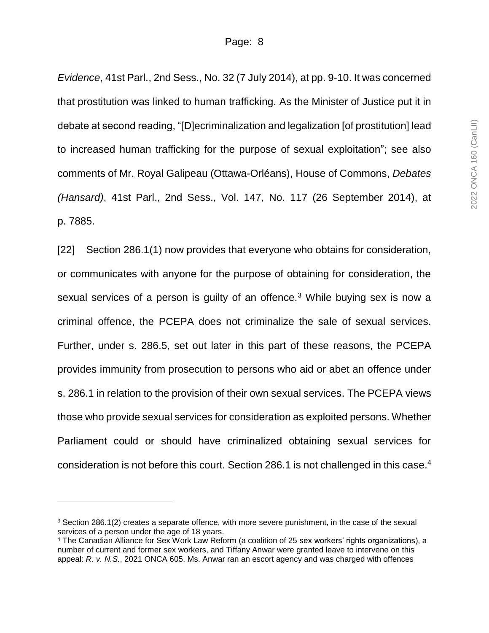*Evidence*, 41st Parl., 2nd Sess., No. 32 (7 July 2014), at pp. 9-10. It was concerned that prostitution was linked to human trafficking. As the Minister of Justice put it in debate at second reading, "[D]ecriminalization and legalization [of prostitution] lead to increased human trafficking for the purpose of sexual exploitation"; see also comments of Mr. Royal Galipeau (Ottawa-Orléans), House of Commons, *Debates (Hansard)*, 41st Parl., 2nd Sess., Vol. 147, No. 117 (26 September 2014), at p. 7885.

[22] Section 286.1(1) now provides that everyone who obtains for consideration, or communicates with anyone for the purpose of obtaining for consideration, the sexual services of a person is guilty of an offence.<sup>3</sup> While buying sex is now a criminal offence, the PCEPA does not criminalize the sale of sexual services. Further, under s. 286.5, set out later in this part of these reasons, the PCEPA provides immunity from prosecution to persons who aid or abet an offence under s. 286.1 in relation to the provision of their own sexual services. The PCEPA views those who provide sexual services for consideration as exploited persons. Whether Parliament could or should have criminalized obtaining sexual services for consideration is not before this court. Section 286.1 is not challenged in this case.<sup>4</sup>

<sup>3</sup> Section 286.1(2) creates a separate offence, with more severe punishment, in the case of the sexual services of a person under the age of 18 years.

<sup>4</sup> The Canadian Alliance for Sex Work Law Reform (a coalition of 25 sex workers' rights organizations), a number of current and former sex workers, and Tiffany Anwar were granted leave to intervene on this appeal: *R. v. N.S.*, 2021 ONCA 605. Ms. Anwar ran an escort agency and was charged with offences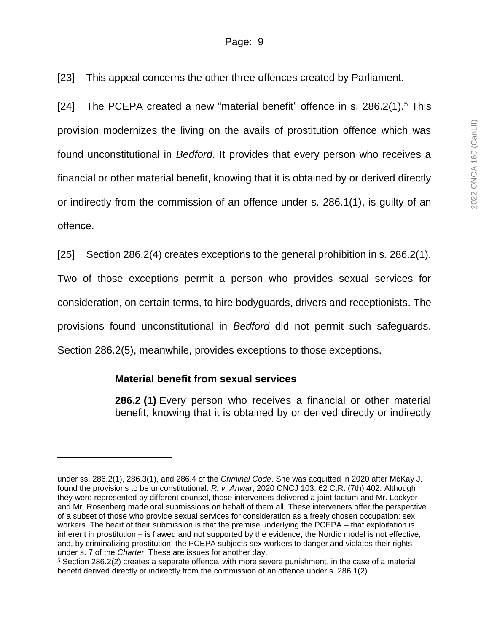#### Page: 9

[23] This appeal concerns the other three offences created by Parliament.

[24] The PCEPA created a new "material benefit" offence in s. 286.2(1).<sup>5</sup> This provision modernizes the living on the avails of prostitution offence which was found unconstitutional in *Bedford*. It provides that every person who receives a financial or other material benefit, knowing that it is obtained by or derived directly or indirectly from the commission of an offence under s. 286.1(1), is guilty of an offence.

[25] Section 286.2(4) creates exceptions to the general prohibition in s. 286.2(1).

Two of those exceptions permit a person who provides sexual services for consideration, on certain terms, to hire bodyguards, drivers and receptionists. The provisions found unconstitutional in *Bedford* did not permit such safeguards. Section 286.2(5), meanwhile, provides exceptions to those exceptions.

#### **Material benefit from sexual services**

 $\overline{a}$ 

**286.2 (1)** Every person who receives a financial or other material benefit, knowing that it is obtained by or derived directly or indirectly

under ss. 286.2(1), 286.3(1), and 286.4 of the *Criminal Code*. She was acquitted in 2020 after McKay J. found the provisions to be unconstitutional: *R. v. Anwar*, 2020 ONCJ 103, 62 C.R. (7th) 402. Although they were represented by different counsel, these interveners delivered a joint factum and Mr. Lockyer and Mr. Rosenberg made oral submissions on behalf of them all. These interveners offer the perspective of a subset of those who provide sexual services for consideration as a freely chosen occupation: sex workers. The heart of their submission is that the premise underlying the PCEPA – that exploitation is inherent in prostitution – is flawed and not supported by the evidence; the Nordic model is not effective; and, by criminalizing prostitution, the PCEPA subjects sex workers to danger and violates their rights under s. 7 of the *Charter*. These are issues for another day.

<sup>5</sup> Section 286.2(2) creates a separate offence, with more severe punishment, in the case of a material benefit derived directly or indirectly from the commission of an offence under s. 286.1(2).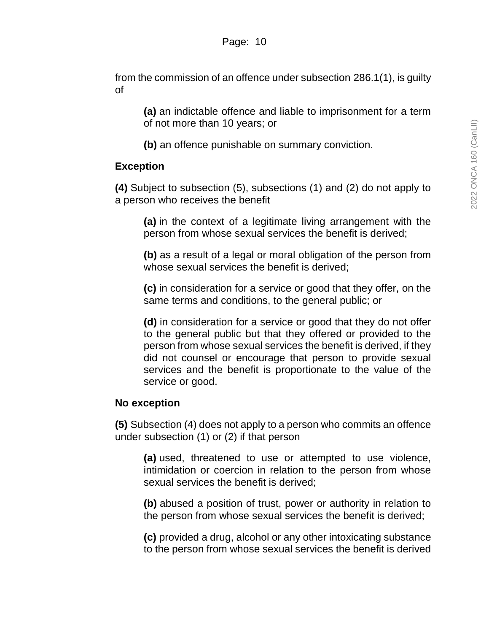from the commission of an offence under subsection 286.1(1), is guilty of

**(a)** an indictable offence and liable to imprisonment for a term of not more than 10 years; or

**(b)** an offence punishable on summary conviction.

### **Exception**

**(4)** Subject to subsection (5), subsections (1) and (2) do not apply to a person who receives the benefit

**(a)** in the context of a legitimate living arrangement with the person from whose sexual services the benefit is derived;

**(b)** as a result of a legal or moral obligation of the person from whose sexual services the benefit is derived;

**(c)** in consideration for a service or good that they offer, on the same terms and conditions, to the general public; or

**(d)** in consideration for a service or good that they do not offer to the general public but that they offered or provided to the person from whose sexual services the benefit is derived, if they did not counsel or encourage that person to provide sexual services and the benefit is proportionate to the value of the service or good.

### **No exception**

**(5)** Subsection (4) does not apply to a person who commits an offence under subsection (1) or (2) if that person

**(a)** used, threatened to use or attempted to use violence, intimidation or coercion in relation to the person from whose sexual services the benefit is derived;

**(b)** abused a position of trust, power or authority in relation to the person from whose sexual services the benefit is derived;

**(c)** provided a drug, alcohol or any other intoxicating substance to the person from whose sexual services the benefit is derived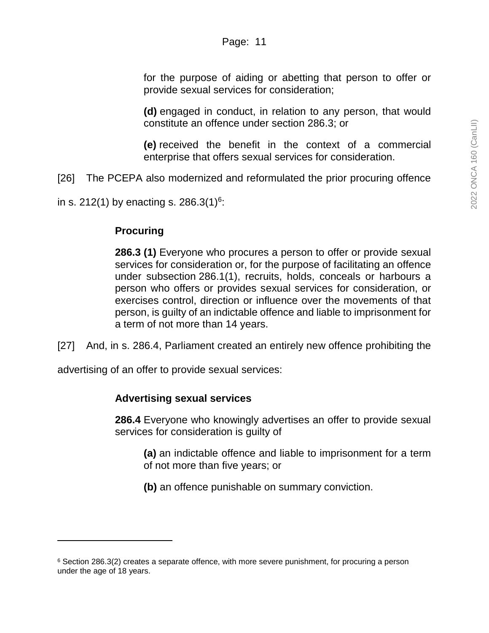for the purpose of aiding or abetting that person to offer or provide sexual services for consideration;

**(d)** engaged in conduct, in relation to any person, that would constitute an offence under section 286.3; or

**(e)** received the benefit in the context of a commercial enterprise that offers sexual services for consideration.

[26] The PCEPA also modernized and reformulated the prior procuring offence

in s. 212(1) by enacting s. 286.3(1)<sup>6</sup>:

### **Procuring**

**286.3 (1)** Everyone who procures a person to offer or provide sexual services for consideration or, for the purpose of facilitating an offence under subsection 286.1(1), recruits, holds, conceals or harbours a person who offers or provides sexual services for consideration, or exercises control, direction or influence over the movements of that person, is guilty of an indictable offence and liable to imprisonment for a term of not more than 14 years.

[27] And, in s. 286.4, Parliament created an entirely new offence prohibiting the

advertising of an offer to provide sexual services:

#### **Advertising sexual services**

**286.4** Everyone who knowingly advertises an offer to provide sexual services for consideration is guilty of

**(a)** an indictable offence and liable to imprisonment for a term of not more than five years; or

**(b)** an offence punishable on summary conviction.

 $6$  Section 286.3(2) creates a separate offence, with more severe punishment, for procuring a person under the age of 18 years.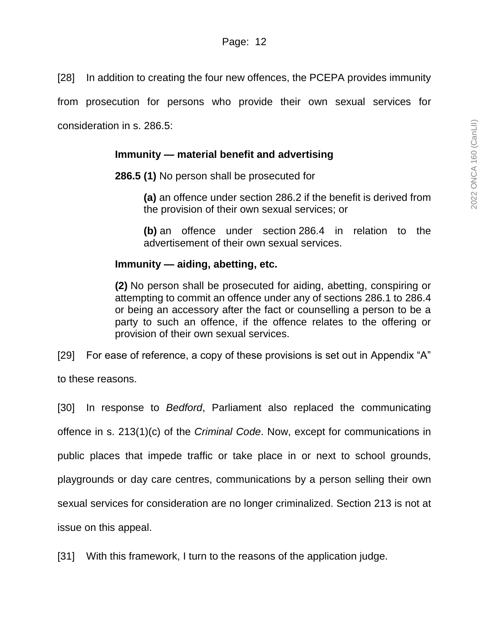[28] In addition to creating the four new offences, the PCEPA provides immunity

from prosecution for persons who provide their own sexual services for

consideration in s. 286.5:

### **Immunity — material benefit and advertising**

**286.5 (1)** No person shall be prosecuted for

**(a)** an offence under section 286.2 if the benefit is derived from the provision of their own sexual services; or

**(b)** an offence under section 286.4 in relation to the advertisement of their own sexual services.

### **Immunity — aiding, abetting, etc.**

**(2)** No person shall be prosecuted for aiding, abetting, conspiring or attempting to commit an offence under any of sections 286.1 to 286.4 or being an accessory after the fact or counselling a person to be a party to such an offence, if the offence relates to the offering or provision of their own sexual services.

[29] For ease of reference, a copy of these provisions is set out in Appendix "A" to these reasons.

[30] In response to *Bedford*, Parliament also replaced the communicating offence in s. 213(1)(c) of the *Criminal Code*. Now, except for communications in public places that impede traffic or take place in or next to school grounds, playgrounds or day care centres, communications by a person selling their own sexual services for consideration are no longer criminalized. Section 213 is not at issue on this appeal.

[31] With this framework, I turn to the reasons of the application judge.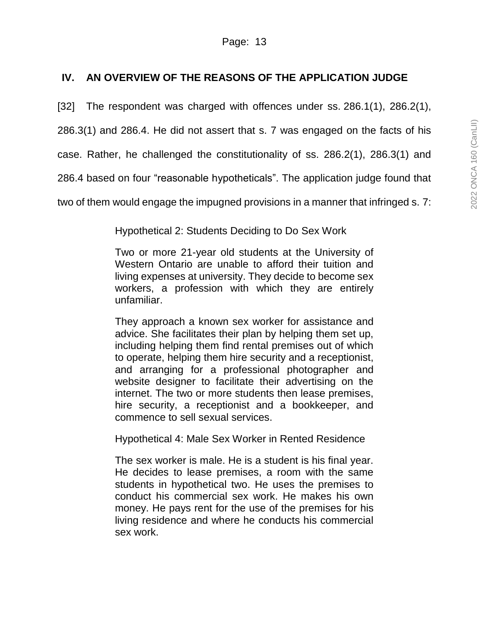## **IV. AN OVERVIEW OF THE REASONS OF THE APPLICATION JUDGE**

[32] The respondent was charged with offences under ss. 286.1(1), 286.2(1),

286.3(1) and 286.4. He did not assert that s. 7 was engaged on the facts of his

case. Rather, he challenged the constitutionality of ss. 286.2(1), 286.3(1) and

286.4 based on four "reasonable hypotheticals". The application judge found that

two of them would engage the impugned provisions in a manner that infringed s. 7:

Hypothetical 2: Students Deciding to Do Sex Work

Two or more 21-year old students at the University of Western Ontario are unable to afford their tuition and living expenses at university. They decide to become sex workers, a profession with which they are entirely unfamiliar.

They approach a known sex worker for assistance and advice. She facilitates their plan by helping them set up, including helping them find rental premises out of which to operate, helping them hire security and a receptionist, and arranging for a professional photographer and website designer to facilitate their advertising on the internet. The two or more students then lease premises, hire security, a receptionist and a bookkeeper, and commence to sell sexual services.

Hypothetical 4: Male Sex Worker in Rented Residence

The sex worker is male. He is a student is his final year. He decides to lease premises, a room with the same students in hypothetical two. He uses the premises to conduct his commercial sex work. He makes his own money. He pays rent for the use of the premises for his living residence and where he conducts his commercial sex work.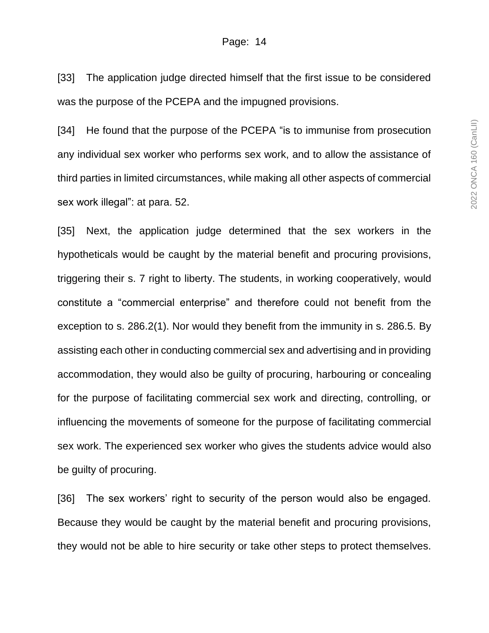[33] The application judge directed himself that the first issue to be considered was the purpose of the PCEPA and the impugned provisions.

[34] He found that the purpose of the PCEPA "is to immunise from prosecution any individual sex worker who performs sex work, and to allow the assistance of third parties in limited circumstances, while making all other aspects of commercial sex work illegal": at para. 52.

[35] Next, the application judge determined that the sex workers in the hypotheticals would be caught by the material benefit and procuring provisions, triggering their s. 7 right to liberty. The students, in working cooperatively, would constitute a "commercial enterprise" and therefore could not benefit from the exception to s. 286.2(1). Nor would they benefit from the immunity in s. 286.5. By assisting each other in conducting commercial sex and advertising and in providing accommodation, they would also be guilty of procuring, harbouring or concealing for the purpose of facilitating commercial sex work and directing, controlling, or influencing the movements of someone for the purpose of facilitating commercial sex work. The experienced sex worker who gives the students advice would also be guilty of procuring.

[36] The sex workers' right to security of the person would also be engaged. Because they would be caught by the material benefit and procuring provisions, they would not be able to hire security or take other steps to protect themselves.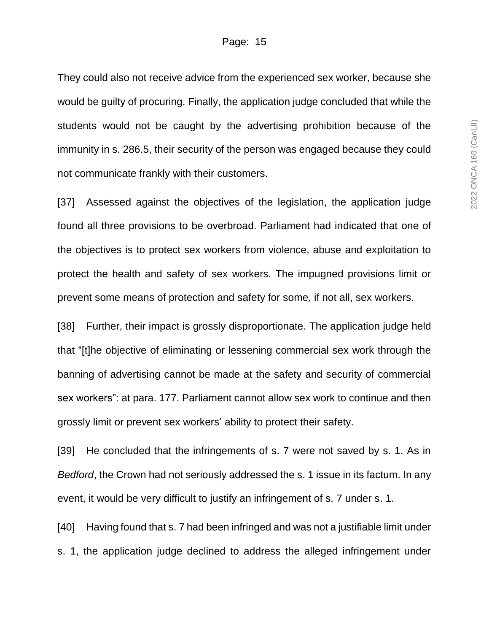They could also not receive advice from the experienced sex worker, because she would be guilty of procuring. Finally, the application judge concluded that while the students would not be caught by the advertising prohibition because of the immunity in s. 286.5, their security of the person was engaged because they could not communicate frankly with their customers.

[37] Assessed against the objectives of the legislation, the application judge found all three provisions to be overbroad. Parliament had indicated that one of the objectives is to protect sex workers from violence, abuse and exploitation to protect the health and safety of sex workers. The impugned provisions limit or prevent some means of protection and safety for some, if not all, sex workers.

[38] Further, their impact is grossly disproportionate. The application judge held that "[t]he objective of eliminating or lessening commercial sex work through the banning of advertising cannot be made at the safety and security of commercial sex workers": at para. 177. Parliament cannot allow sex work to continue and then grossly limit or prevent sex workers' ability to protect their safety.

[39] He concluded that the infringements of s. 7 were not saved by s. 1. As in *Bedford*, the Crown had not seriously addressed the s. 1 issue in its factum. In any event, it would be very difficult to justify an infringement of s. 7 under s. 1.

[40] Having found that s. 7 had been infringed and was not a justifiable limit under s. 1, the application judge declined to address the alleged infringement under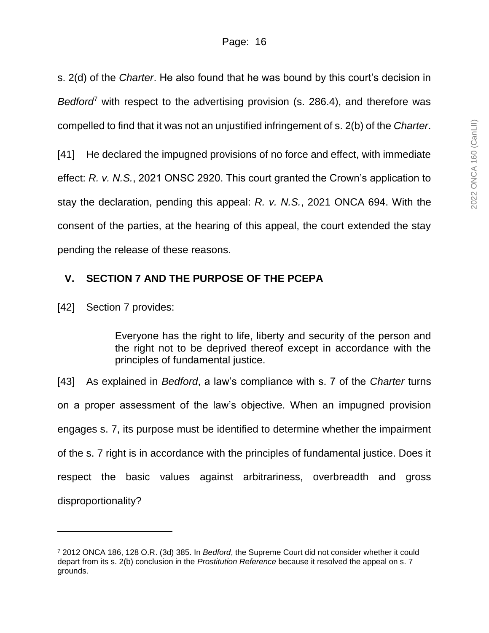s. 2(d) of the *Charter*. He also found that he was bound by this court's decision in *Bedford*<sup>7</sup> with respect to the advertising provision (s. 286.4), and therefore was compelled to find that it was not an unjustified infringement of s. 2(b) of the *Charter*. [41] He declared the impugned provisions of no force and effect, with immediate effect: *R. v. N.S.*, 2021 ONSC 2920. This court granted the Crown's application to stay the declaration, pending this appeal: *R. v. N.S.*, 2021 ONCA 694. With the consent of the parties, at the hearing of this appeal, the court extended the stay

pending the release of these reasons.

# **V. SECTION 7 AND THE PURPOSE OF THE PCEPA**

[42] Section 7 provides:

l

Everyone has the right to life, liberty and security of the person and the right not to be deprived thereof except in accordance with the principles of fundamental justice.

[43] As explained in *Bedford*, a law's compliance with s. 7 of the *Charter* turns on a proper assessment of the law's objective. When an impugned provision engages s. 7, its purpose must be identified to determine whether the impairment of the s. 7 right is in accordance with the principles of fundamental justice. Does it respect the basic values against arbitrariness, overbreadth and gross disproportionality?

<sup>7</sup> 2012 ONCA 186, 128 O.R. (3d) 385. In *Bedford*, the Supreme Court did not consider whether it could depart from its s. 2(b) conclusion in the *Prostitution Reference* because it resolved the appeal on s. 7 grounds.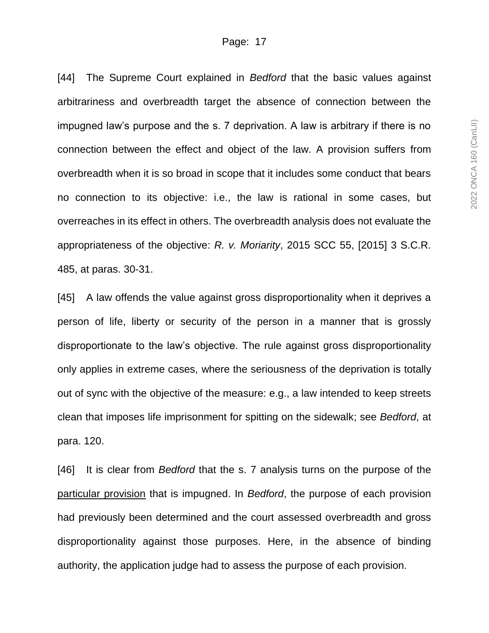[44] The Supreme Court explained in *Bedford* that the basic values against arbitrariness and overbreadth target the absence of connection between the impugned law's purpose and the s. 7 deprivation. A law is arbitrary if there is no connection between the effect and object of the law. A provision suffers from overbreadth when it is so broad in scope that it includes some conduct that bears no connection to its objective: i.e., the law is rational in some cases, but overreaches in its effect in others. The overbreadth analysis does not evaluate the appropriateness of the objective: *R. v. Moriarity*, 2015 SCC 55, [2015] 3 S.C.R. 485, at paras. 30-31.

[45] A law offends the value against gross disproportionality when it deprives a person of life, liberty or security of the person in a manner that is grossly disproportionate to the law's objective. The rule against gross disproportionality only applies in extreme cases, where the seriousness of the deprivation is totally out of sync with the objective of the measure: e.g., a law intended to keep streets clean that imposes life imprisonment for spitting on the sidewalk; see *Bedford*, at para. 120.

[46] It is clear from *Bedford* that the s. 7 analysis turns on the purpose of the particular provision that is impugned. In *Bedford*, the purpose of each provision had previously been determined and the court assessed overbreadth and gross disproportionality against those purposes. Here, in the absence of binding authority, the application judge had to assess the purpose of each provision.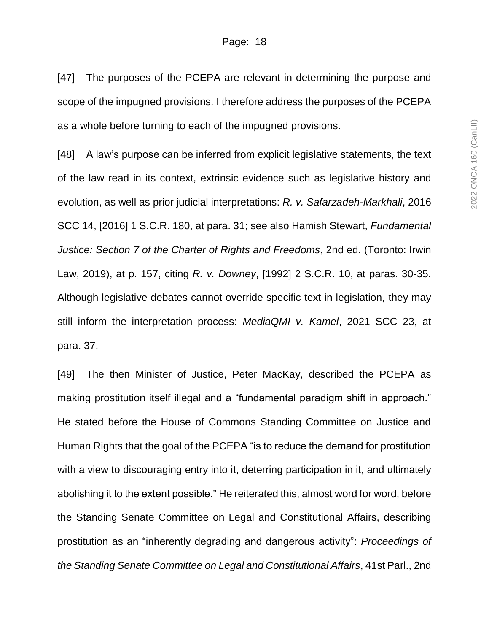[47] The purposes of the PCEPA are relevant in determining the purpose and scope of the impugned provisions. I therefore address the purposes of the PCEPA as a whole before turning to each of the impugned provisions.

[48] A law's purpose can be inferred from explicit legislative statements, the text of the law read in its context, extrinsic evidence such as legislative history and evolution, as well as prior judicial interpretations: *R. v. Safarzadeh-Markhali*, 2016 SCC 14, [2016] 1 S.C.R. 180, at para. 31; see also Hamish Stewart, *Fundamental Justice: Section 7 of the Charter of Rights and Freedoms*, 2nd ed. (Toronto: Irwin Law, 2019), at p. 157, citing *R. v. Downey*, [1992] 2 S.C.R. 10, at paras. 30-35. Although legislative debates cannot override specific text in legislation, they may still inform the interpretation process: *MediaQMI v. Kamel*, 2021 SCC 23, at para. 37.

[49] The then Minister of Justice, Peter MacKay, described the PCEPA as making prostitution itself illegal and a "fundamental paradigm shift in approach." He stated before the House of Commons Standing Committee on Justice and Human Rights that the goal of the PCEPA "is to reduce the demand for prostitution with a view to discouraging entry into it, deterring participation in it, and ultimately abolishing it to the extent possible." He reiterated this, almost word for word, before the Standing Senate Committee on Legal and Constitutional Affairs, describing prostitution as an "inherently degrading and dangerous activity": *Proceedings of the Standing Senate Committee on Legal and Constitutional Affairs*, 41st Parl., 2nd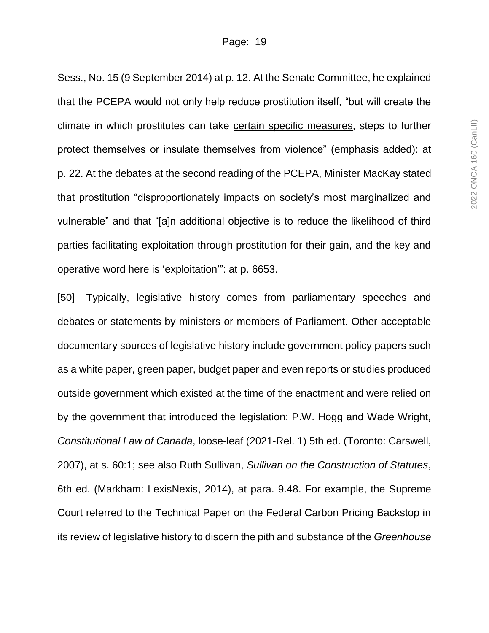Sess., No. 15 (9 September 2014) at p. 12. At the Senate Committee, he explained that the PCEPA would not only help reduce prostitution itself, "but will create the climate in which prostitutes can take certain specific measures, steps to further protect themselves or insulate themselves from violence" (emphasis added): at p. 22. At the debates at the second reading of the PCEPA, Minister MacKay stated that prostitution "disproportionately impacts on society's most marginalized and vulnerable" and that "[a]n additional objective is to reduce the likelihood of third parties facilitating exploitation through prostitution for their gain, and the key and operative word here is 'exploitation'": at p. 6653.

[50] Typically, legislative history comes from parliamentary speeches and debates or statements by ministers or members of Parliament. Other acceptable documentary sources of legislative history include government policy papers such as a white paper, green paper, budget paper and even reports or studies produced outside government which existed at the time of the enactment and were relied on by the government that introduced the legislation: P.W. Hogg and Wade Wright, *Constitutional Law of Canada*, loose-leaf (2021-Rel. 1) 5th ed. (Toronto: Carswell, 2007), at s. 60:1; see also Ruth Sullivan, *Sullivan on the Construction of Statutes*, 6th ed. (Markham: LexisNexis, 2014), at para. 9.48. For example, the Supreme Court referred to the Technical Paper on the Federal Carbon Pricing Backstop in its review of legislative history to discern the pith and substance of the *Greenhouse*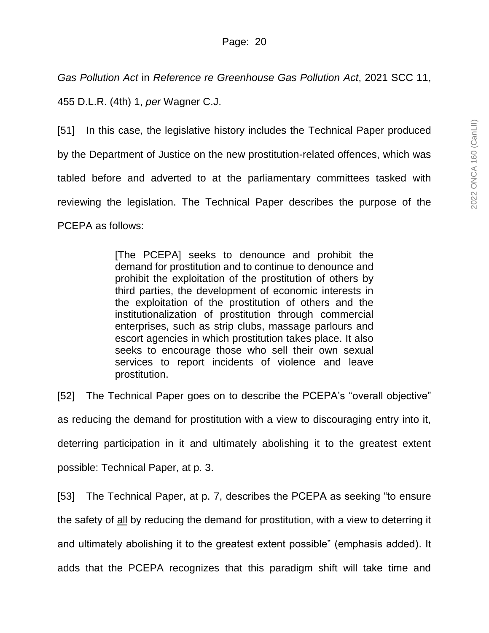*Gas Pollution Act* in *Reference re Greenhouse Gas Pollution Act*, 2021 SCC 11, 455 D.L.R. (4th) 1, *per* Wagner C.J.

[51] In this case, the legislative history includes the Technical Paper produced by the Department of Justice on the new prostitution-related offences, which was tabled before and adverted to at the parliamentary committees tasked with reviewing the legislation. The Technical Paper describes the purpose of the PCEPA as follows:

> [The PCEPA] seeks to denounce and prohibit the demand for prostitution and to continue to denounce and prohibit the exploitation of the prostitution of others by third parties, the development of economic interests in the exploitation of the prostitution of others and the institutionalization of prostitution through commercial enterprises, such as strip clubs, massage parlours and escort agencies in which prostitution takes place. It also seeks to encourage those who sell their own sexual services to report incidents of violence and leave prostitution.

[52] The Technical Paper goes on to describe the PCEPA's "overall objective" as reducing the demand for prostitution with a view to discouraging entry into it, deterring participation in it and ultimately abolishing it to the greatest extent possible: Technical Paper, at p. 3.

[53] The Technical Paper, at p. 7, describes the PCEPA as seeking "to ensure the safety of all by reducing the demand for prostitution, with a view to deterring it and ultimately abolishing it to the greatest extent possible" (emphasis added). It adds that the PCEPA recognizes that this paradigm shift will take time and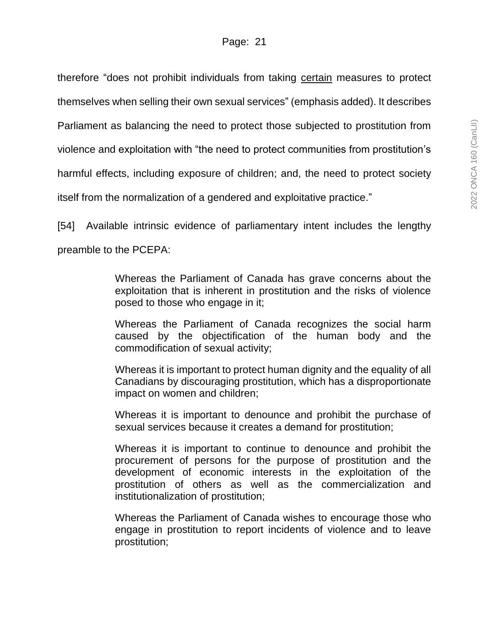therefore "does not prohibit individuals from taking certain measures to protect themselves when selling their own sexual services" (emphasis added). It describes Parliament as balancing the need to protect those subjected to prostitution from violence and exploitation with "the need to protect communities from prostitution's harmful effects, including exposure of children; and, the need to protect society itself from the normalization of a gendered and exploitative practice."

[54] Available intrinsic evidence of parliamentary intent includes the lengthy preamble to the PCEPA:

> Whereas the Parliament of Canada has grave concerns about the exploitation that is inherent in prostitution and the risks of violence posed to those who engage in it;

> Whereas the Parliament of Canada recognizes the social harm caused by the objectification of the human body and the commodification of sexual activity;

> Whereas it is important to protect human dignity and the equality of all Canadians by discouraging prostitution, which has a disproportionate impact on women and children;

> Whereas it is important to denounce and prohibit the purchase of sexual services because it creates a demand for prostitution;

> Whereas it is important to continue to denounce and prohibit the procurement of persons for the purpose of prostitution and the development of economic interests in the exploitation of the prostitution of others as well as the commercialization and institutionalization of prostitution;

> Whereas the Parliament of Canada wishes to encourage those who engage in prostitution to report incidents of violence and to leave prostitution;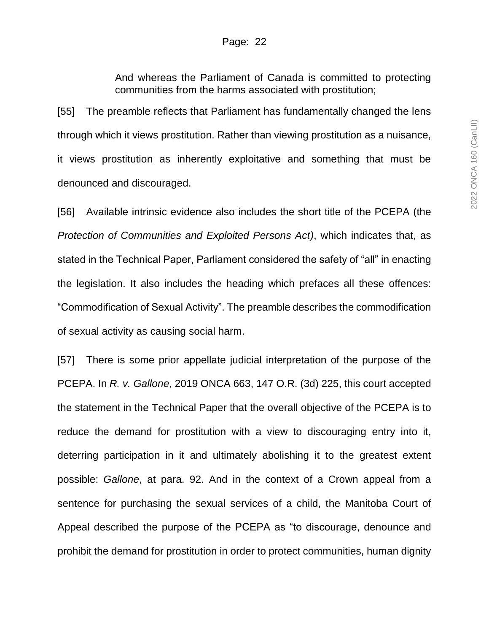And whereas the Parliament of Canada is committed to protecting communities from the harms associated with prostitution;

[55] The preamble reflects that Parliament has fundamentally changed the lens through which it views prostitution. Rather than viewing prostitution as a nuisance, it views prostitution as inherently exploitative and something that must be denounced and discouraged.

[56] Available intrinsic evidence also includes the short title of the PCEPA (the *Protection of Communities and Exploited Persons Act)*, which indicates that, as stated in the Technical Paper, Parliament considered the safety of "all" in enacting the legislation. It also includes the heading which prefaces all these offences: "Commodification of Sexual Activity". The preamble describes the commodification of sexual activity as causing social harm.

[57] There is some prior appellate judicial interpretation of the purpose of the PCEPA. In *R. v. Gallone*, 2019 ONCA 663, 147 O.R. (3d) 225, this court accepted the statement in the Technical Paper that the overall objective of the PCEPA is to reduce the demand for prostitution with a view to discouraging entry into it, deterring participation in it and ultimately abolishing it to the greatest extent possible: *Gallone*, at para. 92. And in the context of a Crown appeal from a sentence for purchasing the sexual services of a child, the Manitoba Court of Appeal described the purpose of the PCEPA as "to discourage, denounce and prohibit the demand for prostitution in order to protect communities, human dignity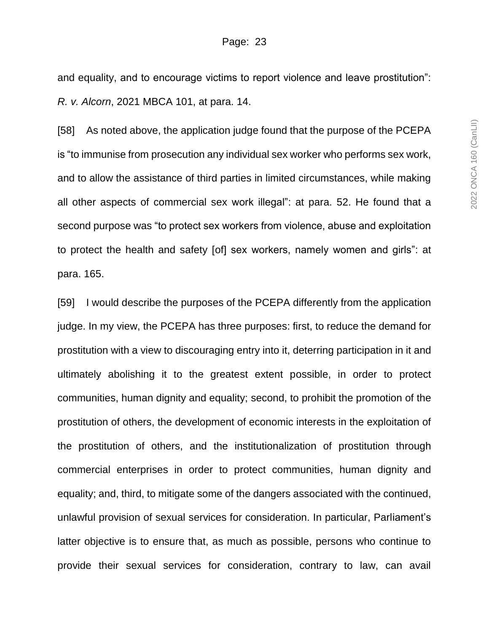and equality, and to encourage victims to report violence and leave prostitution": *R. v. Alcorn*, 2021 MBCA 101, at para. 14.

[58] As noted above, the application judge found that the purpose of the PCEPA is "to immunise from prosecution any individual sex worker who performs sex work, and to allow the assistance of third parties in limited circumstances, while making all other aspects of commercial sex work illegal": at para. 52. He found that a second purpose was "to protect sex workers from violence, abuse and exploitation to protect the health and safety [of] sex workers, namely women and girls": at para. 165.

[59] I would describe the purposes of the PCEPA differently from the application judge. In my view, the PCEPA has three purposes: first, to reduce the demand for prostitution with a view to discouraging entry into it, deterring participation in it and ultimately abolishing it to the greatest extent possible, in order to protect communities, human dignity and equality; second, to prohibit the promotion of the prostitution of others, the development of economic interests in the exploitation of the prostitution of others, and the institutionalization of prostitution through commercial enterprises in order to protect communities, human dignity and equality; and, third, to mitigate some of the dangers associated with the continued, unlawful provision of sexual services for consideration. In particular, Parliament's latter objective is to ensure that, as much as possible, persons who continue to provide their sexual services for consideration, contrary to law, can avail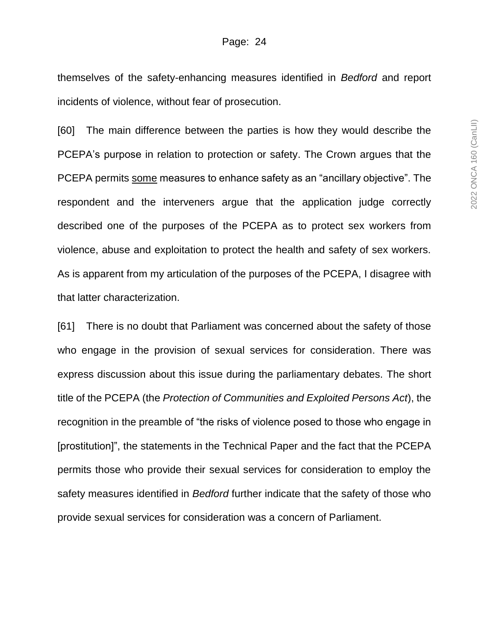themselves of the safety-enhancing measures identified in *Bedford* and report incidents of violence, without fear of prosecution.

[60] The main difference between the parties is how they would describe the PCEPA's purpose in relation to protection or safety. The Crown argues that the PCEPA permits some measures to enhance safety as an "ancillary objective". The respondent and the interveners argue that the application judge correctly described one of the purposes of the PCEPA as to protect sex workers from violence, abuse and exploitation to protect the health and safety of sex workers. As is apparent from my articulation of the purposes of the PCEPA, I disagree with that latter characterization.

[61] There is no doubt that Parliament was concerned about the safety of those who engage in the provision of sexual services for consideration. There was express discussion about this issue during the parliamentary debates. The short title of the PCEPA (the *Protection of Communities and Exploited Persons Act*), the recognition in the preamble of "the risks of violence posed to those who engage in [prostitution]", the statements in the Technical Paper and the fact that the PCEPA permits those who provide their sexual services for consideration to employ the safety measures identified in *Bedford* further indicate that the safety of those who provide sexual services for consideration was a concern of Parliament.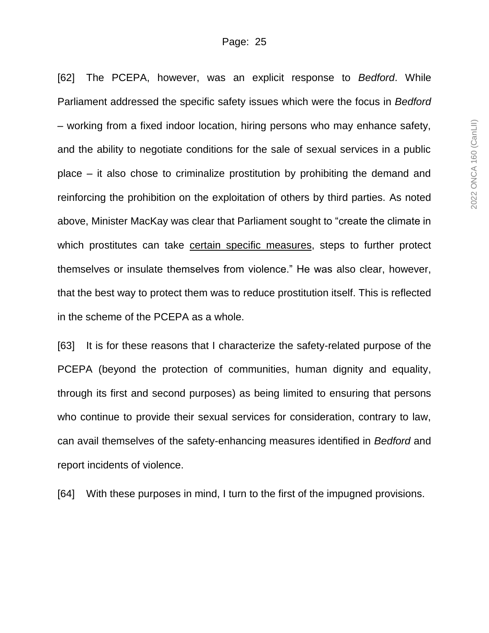[62] The PCEPA, however, was an explicit response to *Bedford*. While Parliament addressed the specific safety issues which were the focus in *Bedford* – working from a fixed indoor location, hiring persons who may enhance safety, and the ability to negotiate conditions for the sale of sexual services in a public place – it also chose to criminalize prostitution by prohibiting the demand and reinforcing the prohibition on the exploitation of others by third parties. As noted above, Minister MacKay was clear that Parliament sought to "create the climate in which prostitutes can take certain specific measures, steps to further protect themselves or insulate themselves from violence." He was also clear, however, that the best way to protect them was to reduce prostitution itself. This is reflected in the scheme of the PCEPA as a whole.

[63] It is for these reasons that I characterize the safety-related purpose of the PCEPA (beyond the protection of communities, human dignity and equality, through its first and second purposes) as being limited to ensuring that persons who continue to provide their sexual services for consideration, contrary to law, can avail themselves of the safety-enhancing measures identified in *Bedford* and report incidents of violence.

[64] With these purposes in mind, I turn to the first of the impugned provisions.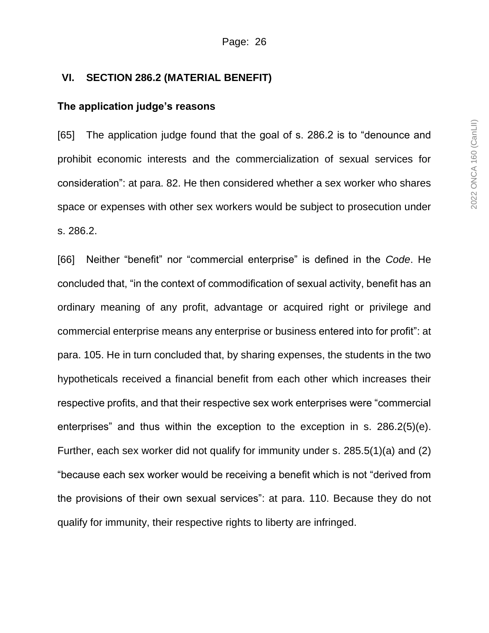#### **VI. SECTION 286.2 (MATERIAL BENEFIT)**

#### **The application judge's reasons**

[65] The application judge found that the goal of s. 286.2 is to "denounce and prohibit economic interests and the commercialization of sexual services for consideration": at para. 82. He then considered whether a sex worker who shares space or expenses with other sex workers would be subject to prosecution under s. 286.2.

[66] Neither "benefit" nor "commercial enterprise" is defined in the *Code*. He concluded that, "in the context of commodification of sexual activity, benefit has an ordinary meaning of any profit, advantage or acquired right or privilege and commercial enterprise means any enterprise or business entered into for profit": at para. 105. He in turn concluded that, by sharing expenses, the students in the two hypotheticals received a financial benefit from each other which increases their respective profits, and that their respective sex work enterprises were "commercial enterprises" and thus within the exception to the exception in s. 286.2(5)(e). Further, each sex worker did not qualify for immunity under s. 285.5(1)(a) and (2) "because each sex worker would be receiving a benefit which is not "derived from the provisions of their own sexual services": at para. 110. Because they do not qualify for immunity, their respective rights to liberty are infringed.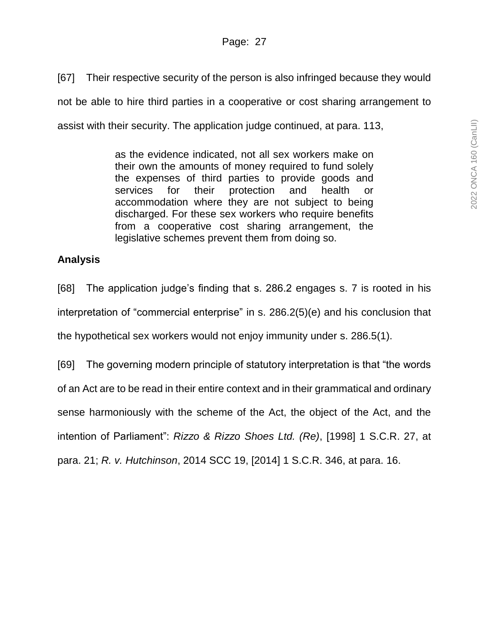[67] Their respective security of the person is also infringed because they would not be able to hire third parties in a cooperative or cost sharing arrangement to assist with their security. The application judge continued, at para. 113,

> as the evidence indicated, not all sex workers make on their own the amounts of money required to fund solely the expenses of third parties to provide goods and services for their protection and health or accommodation where they are not subject to being discharged. For these sex workers who require benefits from a cooperative cost sharing arrangement, the legislative schemes prevent them from doing so.

### **Analysis**

[68] The application judge's finding that s. 286.2 engages s. 7 is rooted in his interpretation of "commercial enterprise" in s. 286.2(5)(e) and his conclusion that the hypothetical sex workers would not enjoy immunity under s. 286.5(1).

[69] The governing modern principle of statutory interpretation is that "the words of an Act are to be read in their entire context and in their grammatical and ordinary sense harmoniously with the scheme of the Act, the object of the Act, and the intention of Parliament": *Rizzo & Rizzo Shoes Ltd. (Re)*, [1998] 1 S.C.R. 27, at para. 21; *R. v. Hutchinson*, 2014 SCC 19, [2014] 1 S.C.R. 346, at para. 16.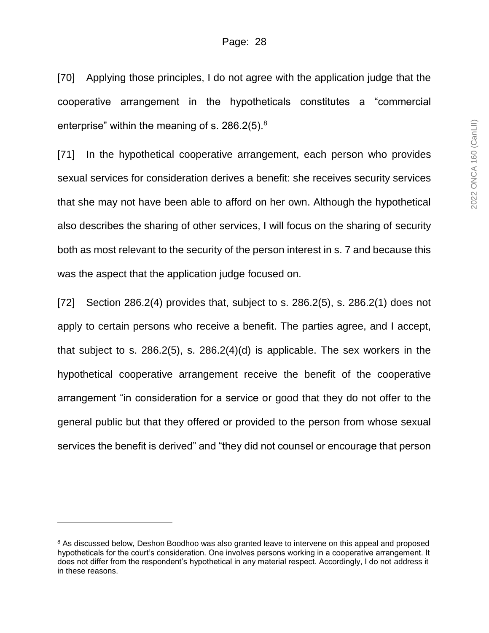[70] Applying those principles, I do not agree with the application judge that the cooperative arrangement in the hypotheticals constitutes a "commercial enterprise" within the meaning of s. 286.2(5).<sup>8</sup>

[71] In the hypothetical cooperative arrangement, each person who provides sexual services for consideration derives a benefit: she receives security services that she may not have been able to afford on her own. Although the hypothetical also describes the sharing of other services, I will focus on the sharing of security both as most relevant to the security of the person interest in s. 7 and because this was the aspect that the application judge focused on.

[72] Section 286.2(4) provides that, subject to s. 286.2(5), s. 286.2(1) does not apply to certain persons who receive a benefit. The parties agree, and I accept, that subject to s. 286.2(5), s. 286.2(4)(d) is applicable. The sex workers in the hypothetical cooperative arrangement receive the benefit of the cooperative arrangement "in consideration for a service or good that they do not offer to the general public but that they offered or provided to the person from whose sexual services the benefit is derived" and "they did not counsel or encourage that person

l

<sup>&</sup>lt;sup>8</sup> As discussed below, Deshon Boodhoo was also granted leave to intervene on this appeal and proposed hypotheticals for the court's consideration. One involves persons working in a cooperative arrangement. It does not differ from the respondent's hypothetical in any material respect. Accordingly, I do not address it in these reasons.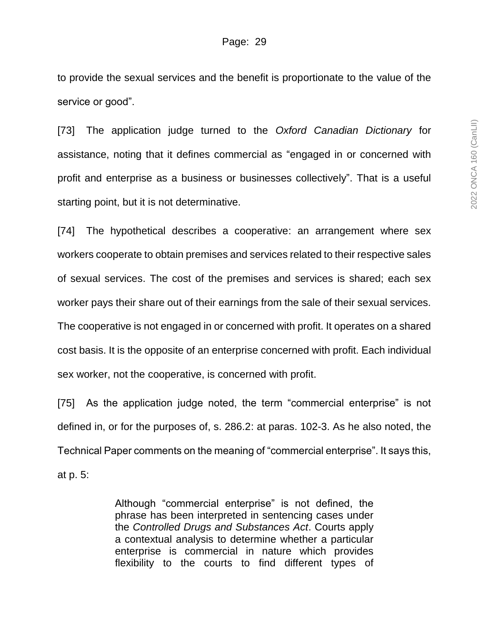to provide the sexual services and the benefit is proportionate to the value of the service or good".

[73] The application judge turned to the *Oxford Canadian Dictionary* for assistance, noting that it defines commercial as "engaged in or concerned with profit and enterprise as a business or businesses collectively". That is a useful starting point, but it is not determinative.

[74] The hypothetical describes a cooperative: an arrangement where sex workers cooperate to obtain premises and services related to their respective sales of sexual services. The cost of the premises and services is shared; each sex worker pays their share out of their earnings from the sale of their sexual services. The cooperative is not engaged in or concerned with profit. It operates on a shared cost basis. It is the opposite of an enterprise concerned with profit. Each individual sex worker, not the cooperative, is concerned with profit.

[75] As the application judge noted, the term "commercial enterprise" is not defined in, or for the purposes of, s. 286.2: at paras. 102-3. As he also noted, the Technical Paper comments on the meaning of "commercial enterprise". It says this, at p. 5:

> Although "commercial enterprise" is not defined, the phrase has been interpreted in sentencing cases under the *Controlled Drugs and Substances Act*. Courts apply a contextual analysis to determine whether a particular enterprise is commercial in nature which provides flexibility to the courts to find different types of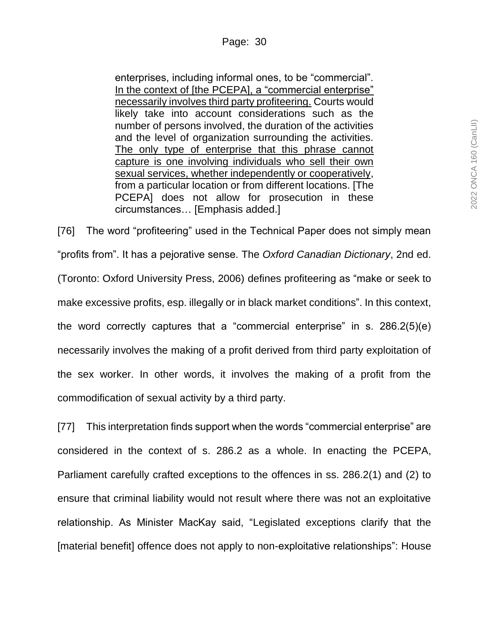enterprises, including informal ones, to be "commercial". In the context of [the PCEPA], a "commercial enterprise" necessarily involves third party profiteering. Courts would likely take into account considerations such as the number of persons involved, the duration of the activities and the level of organization surrounding the activities. The only type of enterprise that this phrase cannot capture is one involving individuals who sell their own sexual services, whether independently or cooperatively, from a particular location or from different locations. [The PCEPA] does not allow for prosecution in these circumstances… [Emphasis added.]

[76] The word "profiteering" used in the Technical Paper does not simply mean "profits from". It has a pejorative sense. The *Oxford Canadian Dictionary*, 2nd ed. (Toronto: Oxford University Press, 2006) defines profiteering as "make or seek to make excessive profits, esp. illegally or in black market conditions". In this context, the word correctly captures that a "commercial enterprise" in s. 286.2(5)(e) necessarily involves the making of a profit derived from third party exploitation of the sex worker. In other words, it involves the making of a profit from the commodification of sexual activity by a third party.

[77] This interpretation finds support when the words "commercial enterprise" are considered in the context of s. 286.2 as a whole. In enacting the PCEPA, Parliament carefully crafted exceptions to the offences in ss. 286.2(1) and (2) to ensure that criminal liability would not result where there was not an exploitative relationship. As Minister MacKay said, "Legislated exceptions clarify that the [material benefit] offence does not apply to non-exploitative relationships": House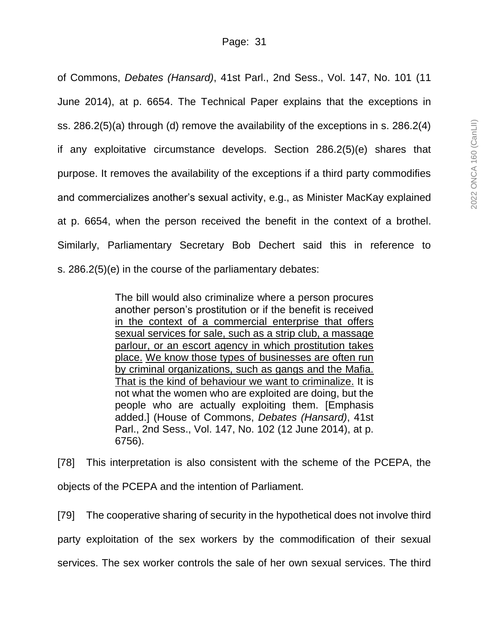of Commons, *Debates (Hansard)*, 41st Parl., 2nd Sess., Vol. 147, No. 101 (11 June 2014), at p. 6654. The Technical Paper explains that the exceptions in ss. 286.2(5)(a) through (d) remove the availability of the exceptions in s. 286.2(4) if any exploitative circumstance develops. Section 286.2(5)(e) shares that purpose. It removes the availability of the exceptions if a third party commodifies and commercializes another's sexual activity, e.g., as Minister MacKay explained at p. 6654, when the person received the benefit in the context of a brothel. Similarly, Parliamentary Secretary Bob Dechert said this in reference to s. 286.2(5)(e) in the course of the parliamentary debates:

> The bill would also criminalize where a person procures another person's prostitution or if the benefit is received in the context of a commercial enterprise that offers sexual services for sale, such as a strip club, a massage parlour, or an escort agency in which prostitution takes place. We know those types of businesses are often run by criminal organizations, such as gangs and the Mafia. That is the kind of behaviour we want to criminalize. It is not what the women who are exploited are doing, but the people who are actually exploiting them. [Emphasis added.] (House of Commons, *Debates (Hansard)*, 41st Parl., 2nd Sess., Vol. 147, No. 102 (12 June 2014), at p. 6756).

[78] This interpretation is also consistent with the scheme of the PCEPA, the objects of the PCEPA and the intention of Parliament.

[79] The cooperative sharing of security in the hypothetical does not involve third party exploitation of the sex workers by the commodification of their sexual services. The sex worker controls the sale of her own sexual services. The third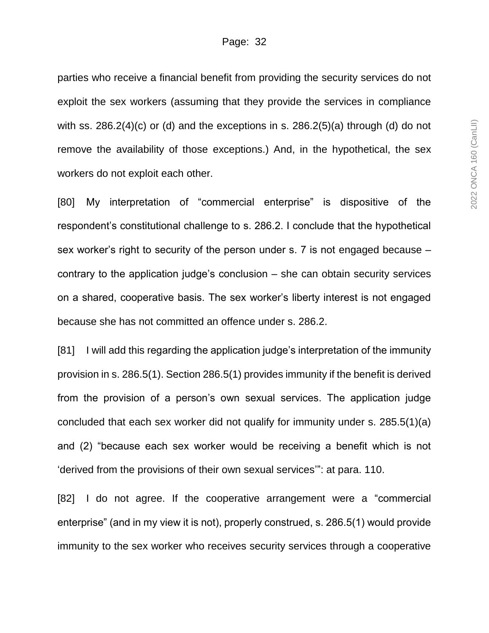parties who receive a financial benefit from providing the security services do not exploit the sex workers (assuming that they provide the services in compliance with ss. 286.2(4)(c) or (d) and the exceptions in s. 286.2(5)(a) through (d) do not remove the availability of those exceptions.) And, in the hypothetical, the sex workers do not exploit each other.

[80] My interpretation of "commercial enterprise" is dispositive of the respondent's constitutional challenge to s. 286.2. I conclude that the hypothetical sex worker's right to security of the person under s. 7 is not engaged because – contrary to the application judge's conclusion – she can obtain security services on a shared, cooperative basis. The sex worker's liberty interest is not engaged because she has not committed an offence under s. 286.2.

[81] I will add this regarding the application judge's interpretation of the immunity provision in s. 286.5(1). Section 286.5(1) provides immunity if the benefit is derived from the provision of a person's own sexual services. The application judge concluded that each sex worker did not qualify for immunity under s. 285.5(1)(a) and (2) "because each sex worker would be receiving a benefit which is not 'derived from the provisions of their own sexual services'": at para. 110.

[82] I do not agree. If the cooperative arrangement were a "commercial enterprise" (and in my view it is not), properly construed, s. 286.5(1) would provide immunity to the sex worker who receives security services through a cooperative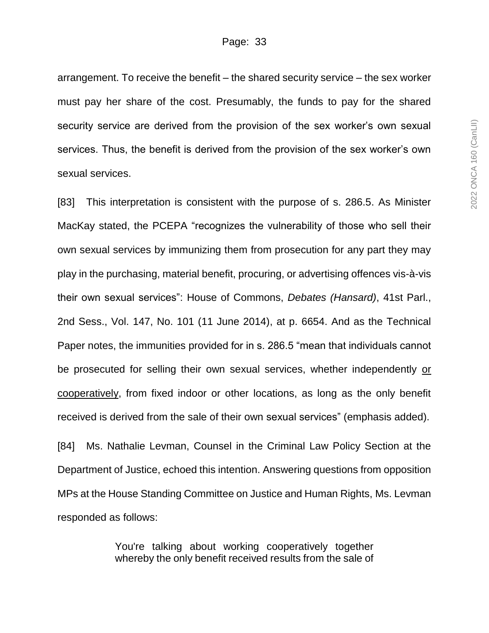arrangement. To receive the benefit – the shared security service – the sex worker must pay her share of the cost. Presumably, the funds to pay for the shared security service are derived from the provision of the sex worker's own sexual services. Thus, the benefit is derived from the provision of the sex worker's own sexual services.

[83] This interpretation is consistent with the purpose of s. 286.5. As Minister MacKay stated, the PCEPA "recognizes the vulnerability of those who sell their own sexual services by immunizing them from prosecution for any part they may play in the purchasing, material benefit, procuring, or advertising offences vis-à-vis their own sexual services": House of Commons, *Debates (Hansard)*, 41st Parl., 2nd Sess., Vol. 147, No. 101 (11 June 2014), at p. 6654. And as the Technical Paper notes, the immunities provided for in s. 286.5 "mean that individuals cannot be prosecuted for selling their own sexual services, whether independently or cooperatively, from fixed indoor or other locations, as long as the only benefit received is derived from the sale of their own sexual services" (emphasis added).

[84] Ms. Nathalie Levman, Counsel in the Criminal Law Policy Section at the Department of Justice, echoed this intention. Answering questions from opposition MPs at the House Standing Committee on Justice and Human Rights, Ms. Levman responded as follows:

> You're talking about working cooperatively together whereby the only benefit received results from the sale of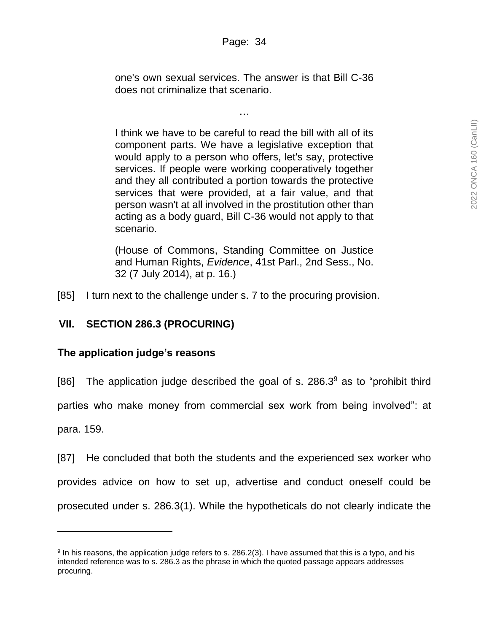one's own sexual services. The answer is that Bill C-36 does not criminalize that scenario.

…

I think we have to be careful to read the bill with all of its component parts. We have a legislative exception that would apply to a person who offers, let's say, protective services. If people were working cooperatively together and they all contributed a portion towards the protective services that were provided, at a fair value, and that person wasn't at all involved in the prostitution other than acting as a body guard, Bill C-36 would not apply to that scenario.

(House of Commons, Standing Committee on Justice and Human Rights, *Evidence*, 41st Parl., 2nd Sess., No. 32 (7 July 2014), at p. 16.)

[85] I turn next to the challenge under s. 7 to the procuring provision.

## **VII. SECTION 286.3 (PROCURING)**

## **The application judge's reasons**

l

[86] The application judge described the goal of s.  $286.3<sup>9</sup>$  as to "prohibit third parties who make money from commercial sex work from being involved": at para. 159.

[87] He concluded that both the students and the experienced sex worker who provides advice on how to set up, advertise and conduct oneself could be prosecuted under s. 286.3(1). While the hypotheticals do not clearly indicate the

<sup>&</sup>lt;sup>9</sup> In his reasons, the application judge refers to s. 286.2(3). I have assumed that this is a typo, and his intended reference was to s. 286.3 as the phrase in which the quoted passage appears addresses procuring.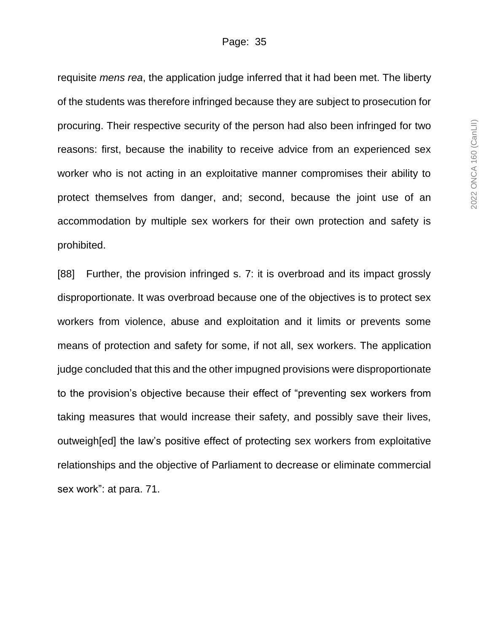requisite *mens rea*, the application judge inferred that it had been met. The liberty of the students was therefore infringed because they are subject to prosecution for procuring. Their respective security of the person had also been infringed for two reasons: first, because the inability to receive advice from an experienced sex worker who is not acting in an exploitative manner compromises their ability to protect themselves from danger, and; second, because the joint use of an accommodation by multiple sex workers for their own protection and safety is prohibited.

[88] Further, the provision infringed s. 7: it is overbroad and its impact grossly disproportionate. It was overbroad because one of the objectives is to protect sex workers from violence, abuse and exploitation and it limits or prevents some means of protection and safety for some, if not all, sex workers. The application judge concluded that this and the other impugned provisions were disproportionate to the provision's objective because their effect of "preventing sex workers from taking measures that would increase their safety, and possibly save their lives, outweigh[ed] the law's positive effect of protecting sex workers from exploitative relationships and the objective of Parliament to decrease or eliminate commercial sex work": at para. 71.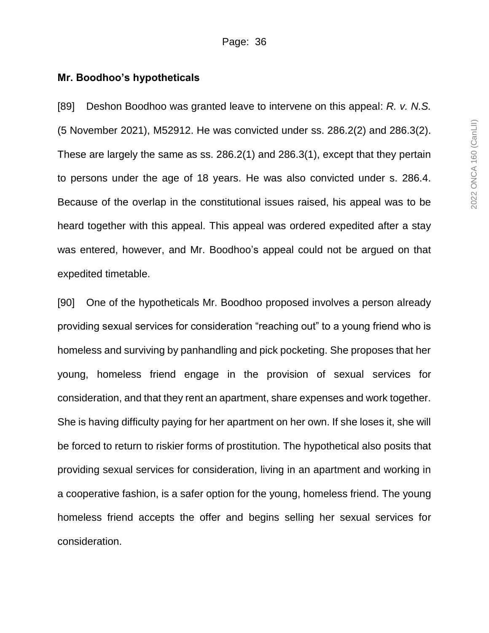### **Mr. Boodhoo's hypotheticals**

[89] Deshon Boodhoo was granted leave to intervene on this appeal: *R. v. N.S.* (5 November 2021), M52912. He was convicted under ss. 286.2(2) and 286.3(2). These are largely the same as ss. 286.2(1) and 286.3(1), except that they pertain to persons under the age of 18 years. He was also convicted under s. 286.4. Because of the overlap in the constitutional issues raised, his appeal was to be heard together with this appeal. This appeal was ordered expedited after a stay was entered, however, and Mr. Boodhoo's appeal could not be argued on that expedited timetable.

[90] One of the hypotheticals Mr. Boodhoo proposed involves a person already providing sexual services for consideration "reaching out" to a young friend who is homeless and surviving by panhandling and pick pocketing. She proposes that her young, homeless friend engage in the provision of sexual services for consideration, and that they rent an apartment, share expenses and work together. She is having difficulty paying for her apartment on her own. If she loses it, she will be forced to return to riskier forms of prostitution. The hypothetical also posits that providing sexual services for consideration, living in an apartment and working in a cooperative fashion, is a safer option for the young, homeless friend. The young homeless friend accepts the offer and begins selling her sexual services for consideration.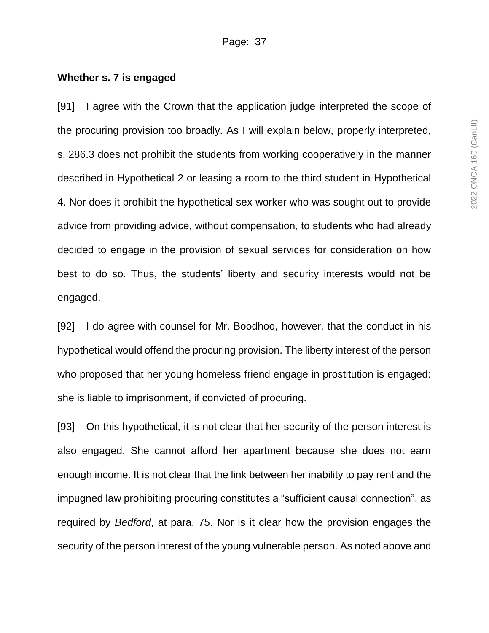#### **Whether s. 7 is engaged**

[91] I agree with the Crown that the application judge interpreted the scope of the procuring provision too broadly. As I will explain below, properly interpreted, s. 286.3 does not prohibit the students from working cooperatively in the manner described in Hypothetical 2 or leasing a room to the third student in Hypothetical 4. Nor does it prohibit the hypothetical sex worker who was sought out to provide advice from providing advice, without compensation, to students who had already decided to engage in the provision of sexual services for consideration on how best to do so. Thus, the students' liberty and security interests would not be engaged.

[92] I do agree with counsel for Mr. Boodhoo, however, that the conduct in his hypothetical would offend the procuring provision. The liberty interest of the person who proposed that her young homeless friend engage in prostitution is engaged: she is liable to imprisonment, if convicted of procuring.

[93] On this hypothetical, it is not clear that her security of the person interest is also engaged. She cannot afford her apartment because she does not earn enough income. It is not clear that the link between her inability to pay rent and the impugned law prohibiting procuring constitutes a "sufficient causal connection", as required by *Bedford*, at para. 75. Nor is it clear how the provision engages the security of the person interest of the young vulnerable person. As noted above and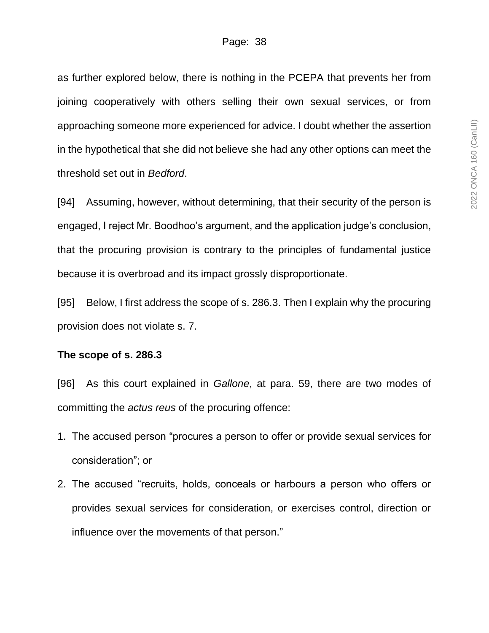as further explored below, there is nothing in the PCEPA that prevents her from joining cooperatively with others selling their own sexual services, or from approaching someone more experienced for advice. I doubt whether the assertion in the hypothetical that she did not believe she had any other options can meet the threshold set out in *Bedford*.

[94] Assuming, however, without determining, that their security of the person is engaged, I reject Mr. Boodhoo's argument, and the application judge's conclusion, that the procuring provision is contrary to the principles of fundamental justice because it is overbroad and its impact grossly disproportionate.

[95] Below, I first address the scope of s. 286.3. Then I explain why the procuring provision does not violate s. 7.

### **The scope of s. 286.3**

[96] As this court explained in *Gallone*, at para. 59, there are two modes of committing the *actus reus* of the procuring offence:

- 1. The accused person "procures a person to offer or provide sexual services for consideration"; or
- 2. The accused "recruits, holds, conceals or harbours a person who offers or provides sexual services for consideration, or exercises control, direction or influence over the movements of that person."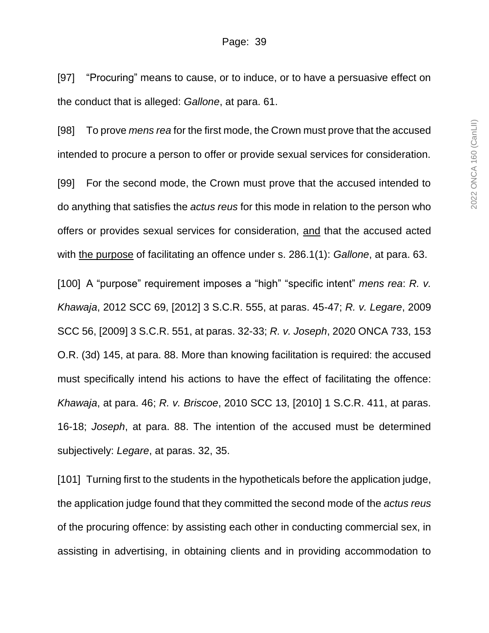[97] "Procuring" means to cause, or to induce, or to have a persuasive effect on the conduct that is alleged: *Gallone*, at para. 61.

[98] To prove *mens rea* for the first mode, the Crown must prove that the accused intended to procure a person to offer or provide sexual services for consideration.

[99] For the second mode, the Crown must prove that the accused intended to do anything that satisfies the *actus reus* for this mode in relation to the person who offers or provides sexual services for consideration, and that the accused acted with the purpose of facilitating an offence under s. 286.1(1): *Gallone*, at para. 63.

[100] A "purpose" requirement imposes a "high" "specific intent" *mens rea*: *R. v. Khawaja*, 2012 SCC 69, [2012] 3 S.C.R. 555, at paras. 45-47; *R. v. Legare*, 2009 SCC 56, [2009] 3 S.C.R. 551, at paras. 32-33; *R. v. Joseph*, 2020 ONCA 733, 153 O.R. (3d) 145, at para. 88. More than knowing facilitation is required: the accused must specifically intend his actions to have the effect of facilitating the offence: *Khawaja*, at para. 46; *R. v. Briscoe*, 2010 SCC 13, [2010] 1 S.C.R. 411, at paras. 16-18; *Joseph*, at para. 88. The intention of the accused must be determined subjectively: *Legare*, at paras. 32, 35.

[101] Turning first to the students in the hypotheticals before the application judge, the application judge found that they committed the second mode of the *actus reus* of the procuring offence: by assisting each other in conducting commercial sex, in assisting in advertising, in obtaining clients and in providing accommodation to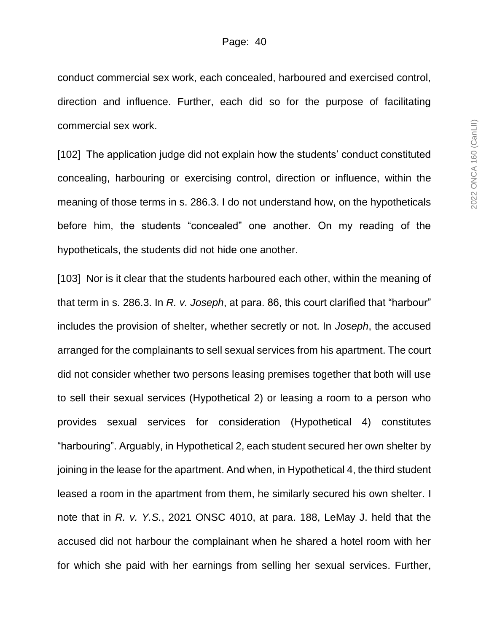conduct commercial sex work, each concealed, harboured and exercised control, direction and influence. Further, each did so for the purpose of facilitating commercial sex work.

[102] The application judge did not explain how the students' conduct constituted concealing, harbouring or exercising control, direction or influence, within the meaning of those terms in s. 286.3. I do not understand how, on the hypotheticals before him, the students "concealed" one another. On my reading of the hypotheticals, the students did not hide one another.

[103] Nor is it clear that the students harboured each other, within the meaning of that term in s. 286.3. In *R. v. Joseph*, at para. 86, this court clarified that "harbour" includes the provision of shelter, whether secretly or not. In *Joseph*, the accused arranged for the complainants to sell sexual services from his apartment. The court did not consider whether two persons leasing premises together that both will use to sell their sexual services (Hypothetical 2) or leasing a room to a person who provides sexual services for consideration (Hypothetical 4) constitutes "harbouring". Arguably, in Hypothetical 2, each student secured her own shelter by joining in the lease for the apartment. And when, in Hypothetical 4, the third student leased a room in the apartment from them, he similarly secured his own shelter. I note that in *R. v. Y.S.*, 2021 ONSC 4010, at para. 188, LeMay J. held that the accused did not harbour the complainant when he shared a hotel room with her for which she paid with her earnings from selling her sexual services. Further,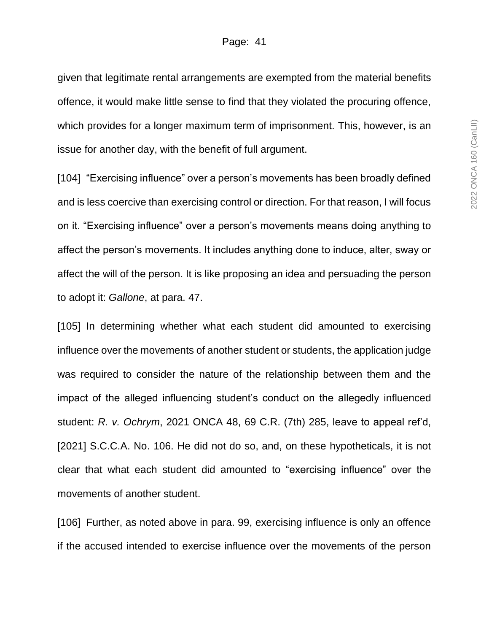given that legitimate rental arrangements are exempted from the material benefits offence, it would make little sense to find that they violated the procuring offence, which provides for a longer maximum term of imprisonment. This, however, is an issue for another day, with the benefit of full argument.

[104] "Exercising influence" over a person's movements has been broadly defined and is less coercive than exercising control or direction. For that reason, I will focus on it. "Exercising influence" over a person's movements means doing anything to affect the person's movements. It includes anything done to induce, alter, sway or affect the will of the person. It is like proposing an idea and persuading the person to adopt it: *Gallone*, at para. 47.

[105] In determining whether what each student did amounted to exercising influence over the movements of another student or students, the application judge was required to consider the nature of the relationship between them and the impact of the alleged influencing student's conduct on the allegedly influenced student: *R. v. Ochrym*, 2021 ONCA 48, 69 C.R. (7th) 285, leave to appeal ref'd, [2021] S.C.C.A. No. 106. He did not do so, and, on these hypotheticals, it is not clear that what each student did amounted to "exercising influence" over the movements of another student.

[106] Further, as noted above in para. 99, exercising influence is only an offence if the accused intended to exercise influence over the movements of the person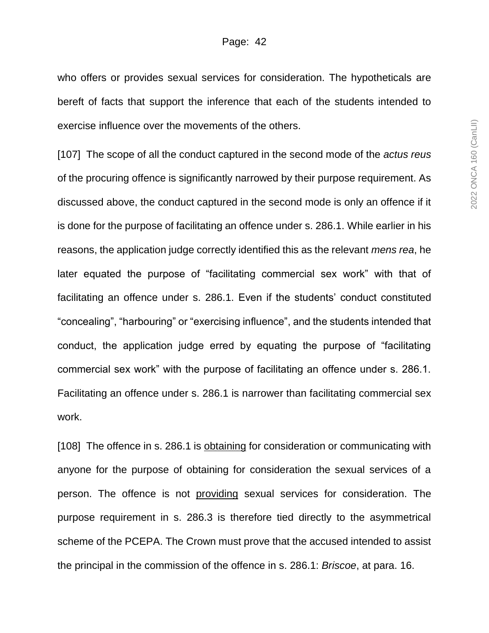who offers or provides sexual services for consideration. The hypotheticals are bereft of facts that support the inference that each of the students intended to exercise influence over the movements of the others.

[107] The scope of all the conduct captured in the second mode of the *actus reus* of the procuring offence is significantly narrowed by their purpose requirement. As discussed above, the conduct captured in the second mode is only an offence if it is done for the purpose of facilitating an offence under s. 286.1. While earlier in his reasons, the application judge correctly identified this as the relevant *mens rea*, he later equated the purpose of "facilitating commercial sex work" with that of facilitating an offence under s. 286.1. Even if the students' conduct constituted "concealing", "harbouring" or "exercising influence", and the students intended that conduct, the application judge erred by equating the purpose of "facilitating commercial sex work" with the purpose of facilitating an offence under s. 286.1. Facilitating an offence under s. 286.1 is narrower than facilitating commercial sex work.

[108] The offence in s. 286.1 is obtaining for consideration or communicating with anyone for the purpose of obtaining for consideration the sexual services of a person. The offence is not providing sexual services for consideration. The purpose requirement in s. 286.3 is therefore tied directly to the asymmetrical scheme of the PCEPA. The Crown must prove that the accused intended to assist the principal in the commission of the offence in s. 286.1: *Briscoe*, at para. 16.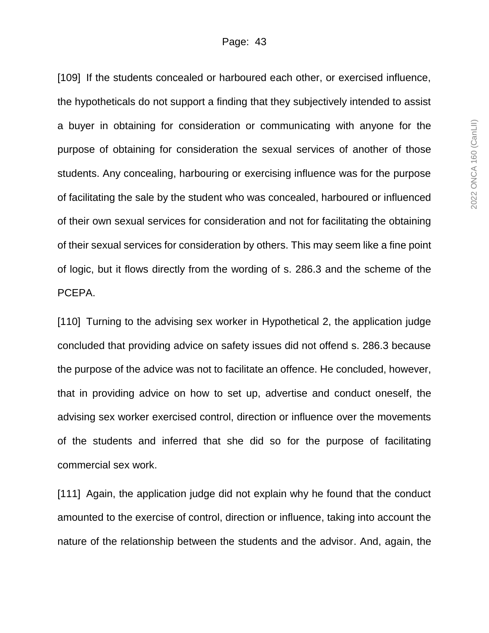[109] If the students concealed or harboured each other, or exercised influence, the hypotheticals do not support a finding that they subjectively intended to assist a buyer in obtaining for consideration or communicating with anyone for the purpose of obtaining for consideration the sexual services of another of those students. Any concealing, harbouring or exercising influence was for the purpose of facilitating the sale by the student who was concealed, harboured or influenced of their own sexual services for consideration and not for facilitating the obtaining of their sexual services for consideration by others. This may seem like a fine point of logic, but it flows directly from the wording of s. 286.3 and the scheme of the PCEPA.

[110] Turning to the advising sex worker in Hypothetical 2, the application judge concluded that providing advice on safety issues did not offend s. 286.3 because the purpose of the advice was not to facilitate an offence. He concluded, however, that in providing advice on how to set up, advertise and conduct oneself, the advising sex worker exercised control, direction or influence over the movements of the students and inferred that she did so for the purpose of facilitating commercial sex work.

[111] Again, the application judge did not explain why he found that the conduct amounted to the exercise of control, direction or influence, taking into account the nature of the relationship between the students and the advisor. And, again, the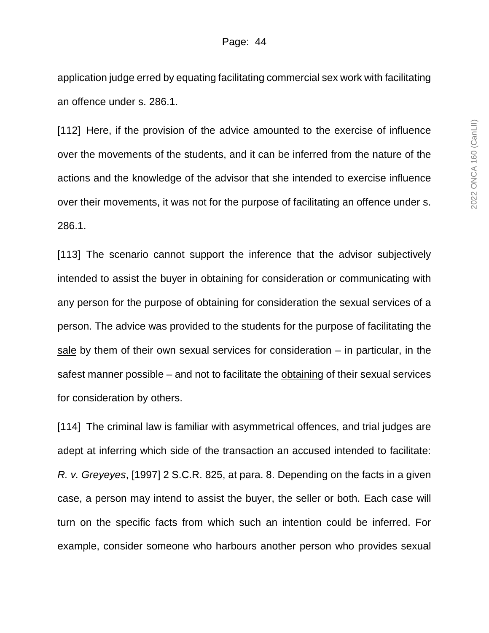application judge erred by equating facilitating commercial sex work with facilitating an offence under s. 286.1.

[112] Here, if the provision of the advice amounted to the exercise of influence over the movements of the students, and it can be inferred from the nature of the actions and the knowledge of the advisor that she intended to exercise influence over their movements, it was not for the purpose of facilitating an offence under s. 286.1.

[113] The scenario cannot support the inference that the advisor subjectively intended to assist the buyer in obtaining for consideration or communicating with any person for the purpose of obtaining for consideration the sexual services of a person. The advice was provided to the students for the purpose of facilitating the sale by them of their own sexual services for consideration – in particular, in the safest manner possible – and not to facilitate the obtaining of their sexual services for consideration by others.

[114] The criminal law is familiar with asymmetrical offences, and trial judges are adept at inferring which side of the transaction an accused intended to facilitate: *R. v. Greyeyes*, [1997] 2 S.C.R. 825, at para. 8. Depending on the facts in a given case, a person may intend to assist the buyer, the seller or both. Each case will turn on the specific facts from which such an intention could be inferred. For example, consider someone who harbours another person who provides sexual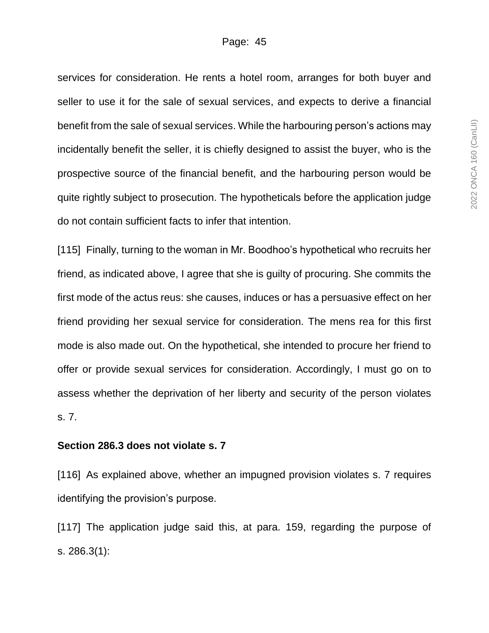services for consideration. He rents a hotel room, arranges for both buyer and seller to use it for the sale of sexual services, and expects to derive a financial benefit from the sale of sexual services. While the harbouring person's actions may incidentally benefit the seller, it is chiefly designed to assist the buyer, who is the prospective source of the financial benefit, and the harbouring person would be quite rightly subject to prosecution. The hypotheticals before the application judge do not contain sufficient facts to infer that intention.

[115] Finally, turning to the woman in Mr. Boodhoo's hypothetical who recruits her friend, as indicated above, I agree that she is guilty of procuring. She commits the first mode of the actus reus: she causes, induces or has a persuasive effect on her friend providing her sexual service for consideration. The mens rea for this first mode is also made out. On the hypothetical, she intended to procure her friend to offer or provide sexual services for consideration. Accordingly, I must go on to assess whether the deprivation of her liberty and security of the person violates s. 7.

### **Section 286.3 does not violate s. 7**

[116] As explained above, whether an impugned provision violates s. 7 requires identifying the provision's purpose.

[117] The application judge said this, at para. 159, regarding the purpose of s. 286.3(1):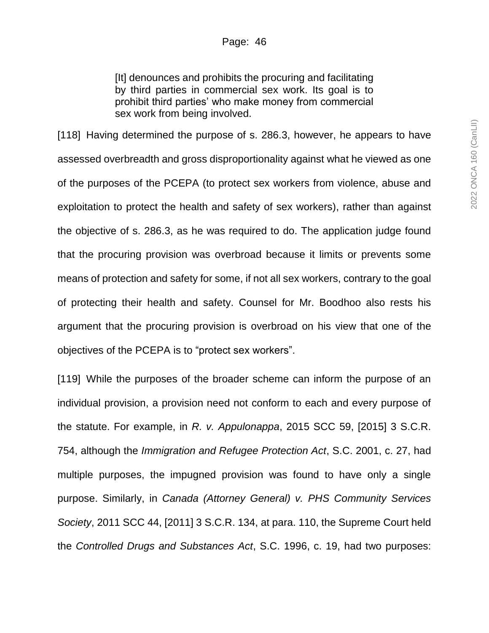[It] denounces and prohibits the procuring and facilitating by third parties in commercial sex work. Its goal is to prohibit third parties' who make money from commercial sex work from being involved.

[118] Having determined the purpose of s. 286.3, however, he appears to have assessed overbreadth and gross disproportionality against what he viewed as one of the purposes of the PCEPA (to protect sex workers from violence, abuse and exploitation to protect the health and safety of sex workers), rather than against the objective of s. 286.3, as he was required to do. The application judge found that the procuring provision was overbroad because it limits or prevents some means of protection and safety for some, if not all sex workers, contrary to the goal of protecting their health and safety. Counsel for Mr. Boodhoo also rests his argument that the procuring provision is overbroad on his view that one of the objectives of the PCEPA is to "protect sex workers".

[119] While the purposes of the broader scheme can inform the purpose of an individual provision, a provision need not conform to each and every purpose of the statute. For example, in *R. v. Appulonappa*, 2015 SCC 59, [2015] 3 S.C.R. 754, although the *Immigration and Refugee Protection Act*, S.C. 2001, c. 27, had multiple purposes, the impugned provision was found to have only a single purpose. Similarly, in *Canada (Attorney General) v. PHS Community Services Society*, 2011 SCC 44, [2011] 3 S.C.R. 134, at para. 110, the Supreme Court held the *Controlled Drugs and Substances Act*, S.C. 1996, c. 19, had two purposes: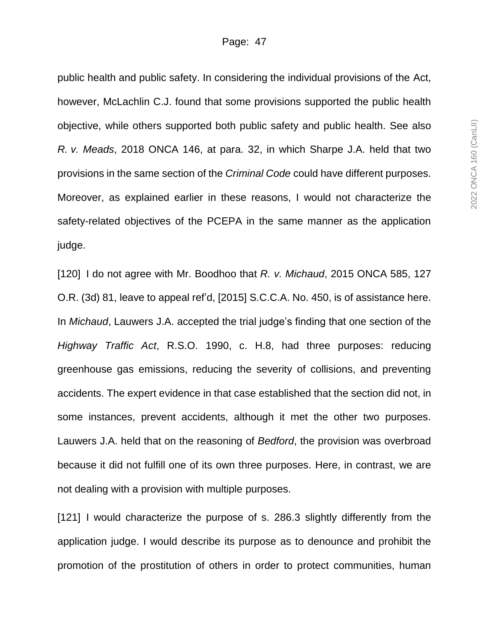#### Page: 47

public health and public safety. In considering the individual provisions of the Act, however, McLachlin C.J. found that some provisions supported the public health objective, while others supported both public safety and public health. See also *R. v. Meads*, 2018 ONCA 146, at para. 32, in which Sharpe J.A. held that two provisions in the same section of the *Criminal Code* could have different purposes. Moreover, as explained earlier in these reasons, I would not characterize the safety-related objectives of the PCEPA in the same manner as the application judge.

[120] I do not agree with Mr. Boodhoo that *R. v. Michaud*, 2015 ONCA 585, 127 O.R. (3d) 81, leave to appeal ref'd, [2015] S.C.C.A. No. 450, is of assistance here. In *Michaud*, Lauwers J.A. accepted the trial judge's finding that one section of the *Highway Traffic Act*, R.S.O. 1990, c. H.8, had three purposes: reducing greenhouse gas emissions, reducing the severity of collisions, and preventing accidents. The expert evidence in that case established that the section did not, in some instances, prevent accidents, although it met the other two purposes. Lauwers J.A. held that on the reasoning of *Bedford*, the provision was overbroad because it did not fulfill one of its own three purposes. Here, in contrast, we are not dealing with a provision with multiple purposes.

[121] I would characterize the purpose of s. 286.3 slightly differently from the application judge. I would describe its purpose as to denounce and prohibit the promotion of the prostitution of others in order to protect communities, human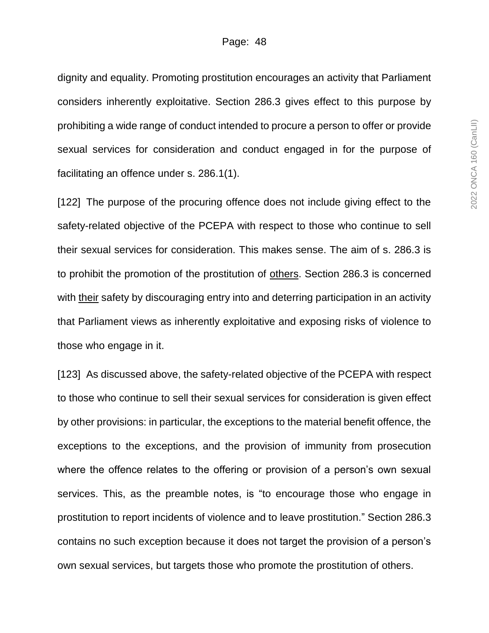dignity and equality. Promoting prostitution encourages an activity that Parliament considers inherently exploitative. Section 286.3 gives effect to this purpose by prohibiting a wide range of conduct intended to procure a person to offer or provide sexual services for consideration and conduct engaged in for the purpose of facilitating an offence under s. 286.1(1).

[122] The purpose of the procuring offence does not include giving effect to the safety-related objective of the PCEPA with respect to those who continue to sell their sexual services for consideration. This makes sense. The aim of s. 286.3 is to prohibit the promotion of the prostitution of others. Section 286.3 is concerned with their safety by discouraging entry into and deterring participation in an activity that Parliament views as inherently exploitative and exposing risks of violence to those who engage in it.

[123] As discussed above, the safety-related objective of the PCEPA with respect to those who continue to sell their sexual services for consideration is given effect by other provisions: in particular, the exceptions to the material benefit offence, the exceptions to the exceptions, and the provision of immunity from prosecution where the offence relates to the offering or provision of a person's own sexual services. This, as the preamble notes, is "to encourage those who engage in prostitution to report incidents of violence and to leave prostitution." Section 286.3 contains no such exception because it does not target the provision of a person's own sexual services, but targets those who promote the prostitution of others.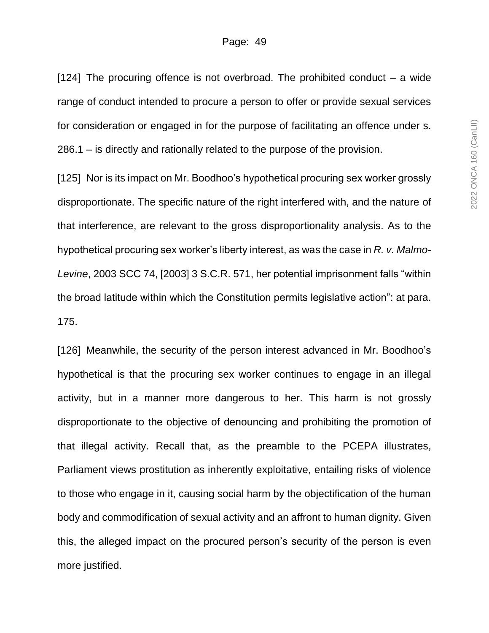[124] The procuring offence is not overbroad. The prohibited conduct – a wide range of conduct intended to procure a person to offer or provide sexual services for consideration or engaged in for the purpose of facilitating an offence under s. 286.1 – is directly and rationally related to the purpose of the provision.

[125] Nor is its impact on Mr. Boodhoo's hypothetical procuring sex worker grossly disproportionate. The specific nature of the right interfered with, and the nature of that interference, are relevant to the gross disproportionality analysis. As to the hypothetical procuring sex worker's liberty interest, as was the case in *R. v. Malmo-Levine*, 2003 SCC 74, [2003] 3 S.C.R. 571, her potential imprisonment falls "within the broad latitude within which the Constitution permits legislative action": at para. 175.

[126] Meanwhile, the security of the person interest advanced in Mr. Boodhoo's hypothetical is that the procuring sex worker continues to engage in an illegal activity, but in a manner more dangerous to her. This harm is not grossly disproportionate to the objective of denouncing and prohibiting the promotion of that illegal activity. Recall that, as the preamble to the PCEPA illustrates, Parliament views prostitution as inherently exploitative, entailing risks of violence to those who engage in it, causing social harm by the objectification of the human body and commodification of sexual activity and an affront to human dignity. Given this, the alleged impact on the procured person's security of the person is even more justified.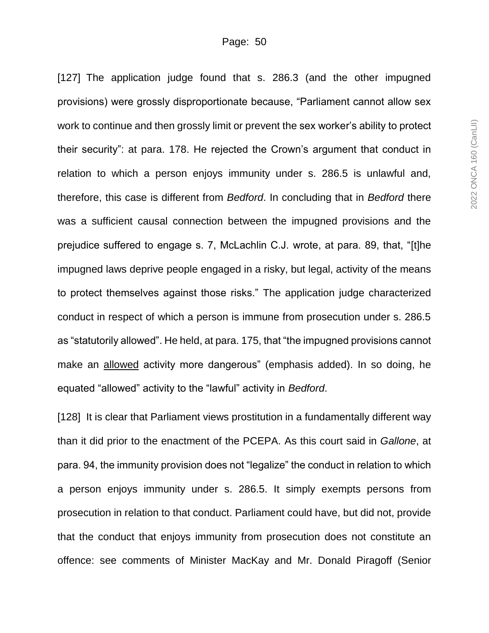[127] The application judge found that s. 286.3 (and the other impugned provisions) were grossly disproportionate because, "Parliament cannot allow sex work to continue and then grossly limit or prevent the sex worker's ability to protect their security": at para. 178. He rejected the Crown's argument that conduct in relation to which a person enjoys immunity under s. 286.5 is unlawful and, therefore, this case is different from *Bedford*. In concluding that in *Bedford* there was a sufficient causal connection between the impugned provisions and the prejudice suffered to engage s. 7, McLachlin C.J. wrote, at para. 89, that, "[t]he impugned laws deprive people engaged in a risky, but legal, activity of the means to protect themselves against those risks." The application judge characterized conduct in respect of which a person is immune from prosecution under s. 286.5 as "statutorily allowed". He held, at para. 175, that "the impugned provisions cannot make an allowed activity more dangerous" (emphasis added). In so doing, he equated "allowed" activity to the "lawful" activity in *Bedford*.

[128] It is clear that Parliament views prostitution in a fundamentally different way than it did prior to the enactment of the PCEPA. As this court said in *Gallone*, at para. 94, the immunity provision does not "legalize" the conduct in relation to which a person enjoys immunity under s. 286.5. It simply exempts persons from prosecution in relation to that conduct. Parliament could have, but did not, provide that the conduct that enjoys immunity from prosecution does not constitute an offence: see comments of Minister MacKay and Mr. Donald Piragoff (Senior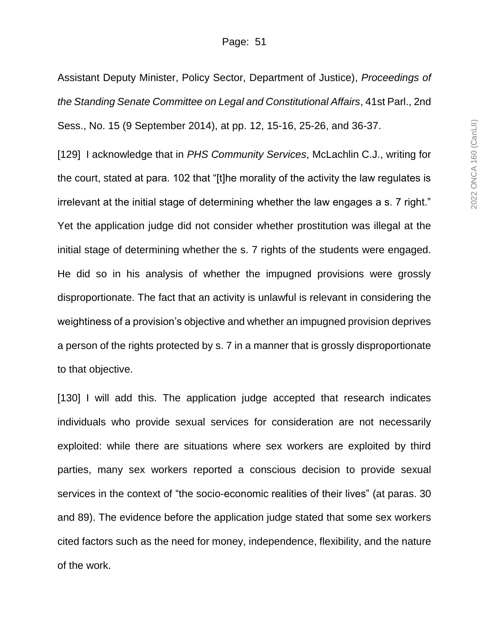Assistant Deputy Minister, Policy Sector, Department of Justice), *Proceedings of the Standing Senate Committee on Legal and Constitutional Affairs*, 41st Parl., 2nd Sess., No. 15 (9 September 2014), at pp. 12, 15-16, 25-26, and 36-37.

[129] I acknowledge that in *PHS Community Services*, McLachlin C.J., writing for the court, stated at para. 102 that "[t]he morality of the activity the law regulates is irrelevant at the initial stage of determining whether the law engages a s. 7 right." Yet the application judge did not consider whether prostitution was illegal at the initial stage of determining whether the s. 7 rights of the students were engaged. He did so in his analysis of whether the impugned provisions were grossly disproportionate. The fact that an activity is unlawful is relevant in considering the weightiness of a provision's objective and whether an impugned provision deprives a person of the rights protected by s. 7 in a manner that is grossly disproportionate to that objective.

[130] I will add this. The application judge accepted that research indicates individuals who provide sexual services for consideration are not necessarily exploited: while there are situations where sex workers are exploited by third parties, many sex workers reported a conscious decision to provide sexual services in the context of "the socio-economic realities of their lives" (at paras. 30 and 89). The evidence before the application judge stated that some sex workers cited factors such as the need for money, independence, flexibility, and the nature of the work.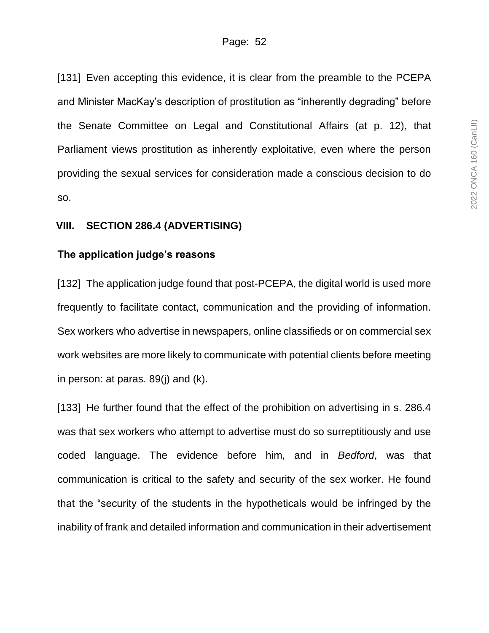[131] Even accepting this evidence, it is clear from the preamble to the PCEPA and Minister MacKay's description of prostitution as "inherently degrading" before the Senate Committee on Legal and Constitutional Affairs (at p. 12), that Parliament views prostitution as inherently exploitative, even where the person providing the sexual services for consideration made a conscious decision to do so.

### **VIII. SECTION 286.4 (ADVERTISING)**

### **The application judge's reasons**

[132] The application judge found that post-PCEPA, the digital world is used more frequently to facilitate contact, communication and the providing of information. Sex workers who advertise in newspapers, online classifieds or on commercial sex work websites are more likely to communicate with potential clients before meeting in person: at paras. 89(j) and (k).

[133] He further found that the effect of the prohibition on advertising in s. 286.4 was that sex workers who attempt to advertise must do so surreptitiously and use coded language. The evidence before him, and in *Bedford*, was that communication is critical to the safety and security of the sex worker. He found that the "security of the students in the hypotheticals would be infringed by the inability of frank and detailed information and communication in their advertisement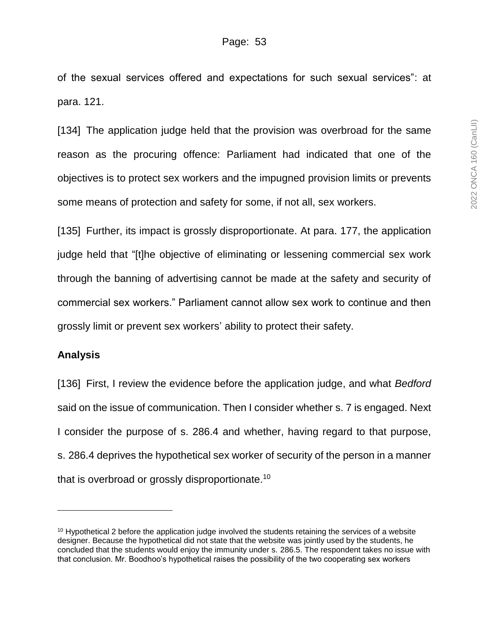of the sexual services offered and expectations for such sexual services": at para. 121.

[134] The application judge held that the provision was overbroad for the same reason as the procuring offence: Parliament had indicated that one of the objectives is to protect sex workers and the impugned provision limits or prevents some means of protection and safety for some, if not all, sex workers.

[135] Further, its impact is grossly disproportionate. At para. 177, the application judge held that "[t]he objective of eliminating or lessening commercial sex work through the banning of advertising cannot be made at the safety and security of commercial sex workers." Parliament cannot allow sex work to continue and then grossly limit or prevent sex workers' ability to protect their safety.

## **Analysis**

[136] First, I review the evidence before the application judge, and what *Bedford* said on the issue of communication. Then I consider whether s. 7 is engaged. Next I consider the purpose of s. 286.4 and whether, having regard to that purpose, s. 286.4 deprives the hypothetical sex worker of security of the person in a manner that is overbroad or grossly disproportionate.<sup>10</sup>

 $10$  Hypothetical 2 before the application judge involved the students retaining the services of a website designer. Because the hypothetical did not state that the website was jointly used by the students, he concluded that the students would enjoy the immunity under s. 286.5. The respondent takes no issue with that conclusion. Mr. Boodhoo's hypothetical raises the possibility of the two cooperating sex workers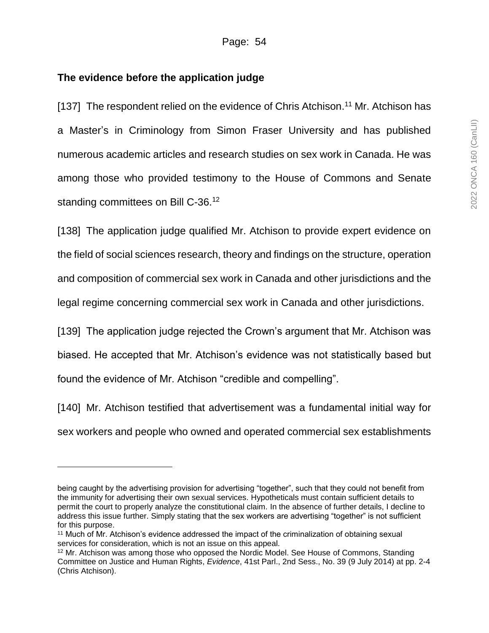## **The evidence before the application judge**

l

[137] The respondent relied on the evidence of Chris Atchison.<sup>11</sup> Mr. Atchison has a Master's in Criminology from Simon Fraser University and has published numerous academic articles and research studies on sex work in Canada. He was among those who provided testimony to the House of Commons and Senate standing committees on Bill C-36.<sup>12</sup>

[138] The application judge qualified Mr. Atchison to provide expert evidence on the field of social sciences research, theory and findings on the structure, operation and composition of commercial sex work in Canada and other jurisdictions and the legal regime concerning commercial sex work in Canada and other jurisdictions.

[139] The application judge rejected the Crown's argument that Mr. Atchison was biased. He accepted that Mr. Atchison's evidence was not statistically based but found the evidence of Mr. Atchison "credible and compelling".

[140] Mr. Atchison testified that advertisement was a fundamental initial way for sex workers and people who owned and operated commercial sex establishments

being caught by the advertising provision for advertising "together", such that they could not benefit from the immunity for advertising their own sexual services. Hypotheticals must contain sufficient details to permit the court to properly analyze the constitutional claim. In the absence of further details, I decline to address this issue further. Simply stating that the sex workers are advertising "together" is not sufficient for this purpose.

<sup>&</sup>lt;sup>11</sup> Much of Mr. Atchison's evidence addressed the impact of the criminalization of obtaining sexual services for consideration, which is not an issue on this appeal.

<sup>&</sup>lt;sup>12</sup> Mr. Atchison was among those who opposed the Nordic Model. See House of Commons, Standing Committee on Justice and Human Rights, *Evidence*, 41st Parl., 2nd Sess., No. 39 (9 July 2014) at pp. 2-4 (Chris Atchison).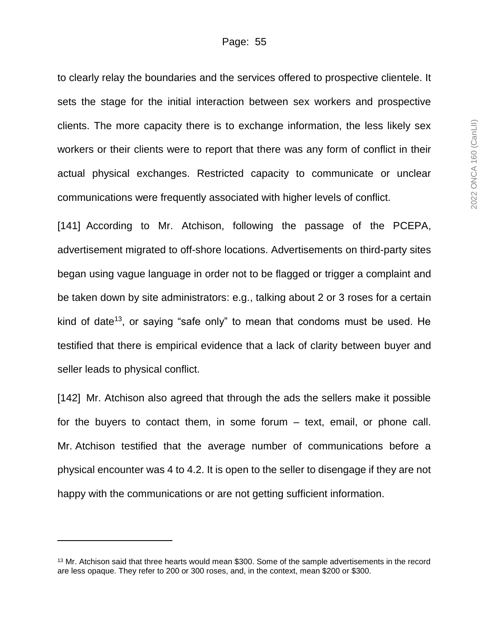to clearly relay the boundaries and the services offered to prospective clientele. It sets the stage for the initial interaction between sex workers and prospective clients. The more capacity there is to exchange information, the less likely sex workers or their clients were to report that there was any form of conflict in their actual physical exchanges. Restricted capacity to communicate or unclear communications were frequently associated with higher levels of conflict.

[141] According to Mr. Atchison, following the passage of the PCEPA, advertisement migrated to off-shore locations. Advertisements on third-party sites began using vague language in order not to be flagged or trigger a complaint and be taken down by site administrators: e.g., talking about 2 or 3 roses for a certain kind of date<sup>13</sup>, or saying "safe only" to mean that condoms must be used. He testified that there is empirical evidence that a lack of clarity between buyer and seller leads to physical conflict.

[142] Mr. Atchison also agreed that through the ads the sellers make it possible for the buyers to contact them, in some forum – text, email, or phone call. Mr. Atchison testified that the average number of communications before a physical encounter was 4 to 4.2. It is open to the seller to disengage if they are not happy with the communications or are not getting sufficient information.

<sup>&</sup>lt;sup>13</sup> Mr. Atchison said that three hearts would mean \$300. Some of the sample advertisements in the record are less opaque. They refer to 200 or 300 roses, and, in the context, mean \$200 or \$300.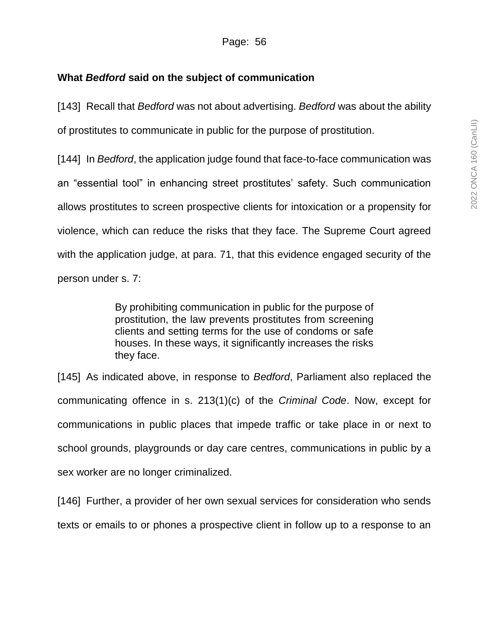# **What** *Bedford* **said on the subject of communication**

[143] Recall that *Bedford* was not about advertising. *Bedford* was about the ability of prostitutes to communicate in public for the purpose of prostitution.

[144] In *Bedford*, the application judge found that face-to-face communication was an "essential tool" in enhancing street prostitutes' safety. Such communication allows prostitutes to screen prospective clients for intoxication or a propensity for violence, which can reduce the risks that they face. The Supreme Court agreed with the application judge, at para. 71, that this evidence engaged security of the person under s. 7:

> By prohibiting communication in public for the purpose of prostitution, the law prevents prostitutes from screening clients and setting terms for the use of condoms or safe houses. In these ways, it significantly increases the risks they face.

[145] As indicated above, in response to *Bedford*, Parliament also replaced the communicating offence in s. 213(1)(c) of the *Criminal Code*. Now, except for communications in public places that impede traffic or take place in or next to school grounds, playgrounds or day care centres, communications in public by a sex worker are no longer criminalized.

[146] Further, a provider of her own sexual services for consideration who sends texts or emails to or phones a prospective client in follow up to a response to an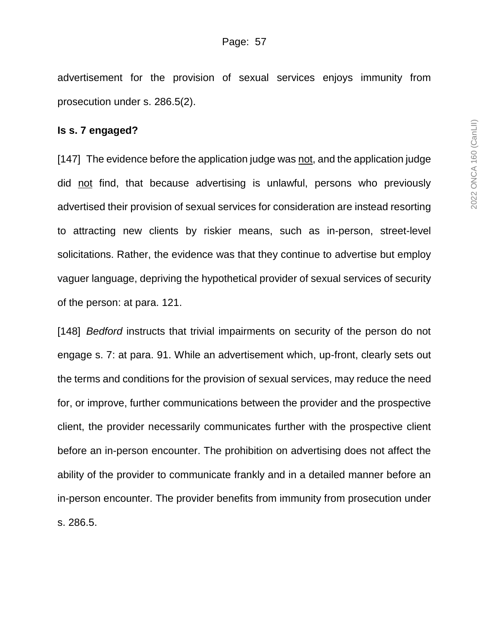advertisement for the provision of sexual services enjoys immunity from prosecution under s. 286.5(2).

#### **Is s. 7 engaged?**

[147] The evidence before the application judge was not, and the application judge did not find, that because advertising is unlawful, persons who previously advertised their provision of sexual services for consideration are instead resorting to attracting new clients by riskier means, such as in-person, street-level solicitations. Rather, the evidence was that they continue to advertise but employ vaguer language, depriving the hypothetical provider of sexual services of security of the person: at para. 121.

[148] *Bedford* instructs that trivial impairments on security of the person do not engage s. 7: at para. 91. While an advertisement which, up-front, clearly sets out the terms and conditions for the provision of sexual services, may reduce the need for, or improve, further communications between the provider and the prospective client, the provider necessarily communicates further with the prospective client before an in-person encounter. The prohibition on advertising does not affect the ability of the provider to communicate frankly and in a detailed manner before an in-person encounter. The provider benefits from immunity from prosecution under s. 286.5.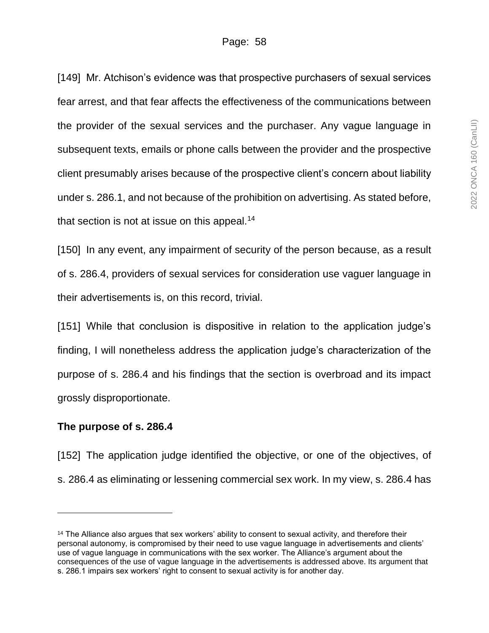[149] Mr. Atchison's evidence was that prospective purchasers of sexual services fear arrest, and that fear affects the effectiveness of the communications between the provider of the sexual services and the purchaser. Any vague language in subsequent texts, emails or phone calls between the provider and the prospective client presumably arises because of the prospective client's concern about liability under s. 286.1, and not because of the prohibition on advertising. As stated before, that section is not at issue on this appeal.<sup>14</sup>

[150] In any event, any impairment of security of the person because, as a result of s. 286.4, providers of sexual services for consideration use vaguer language in their advertisements is, on this record, trivial.

[151] While that conclusion is dispositive in relation to the application judge's finding, I will nonetheless address the application judge's characterization of the purpose of s. 286.4 and his findings that the section is overbroad and its impact grossly disproportionate.

## **The purpose of s. 286.4**

 $\overline{a}$ 

[152] The application judge identified the objective, or one of the objectives, of s. 286.4 as eliminating or lessening commercial sex work. In my view, s. 286.4 has

<sup>&</sup>lt;sup>14</sup> The Alliance also argues that sex workers' ability to consent to sexual activity, and therefore their personal autonomy, is compromised by their need to use vague language in advertisements and clients' use of vague language in communications with the sex worker. The Alliance's argument about the consequences of the use of vague language in the advertisements is addressed above. Its argument that s. 286.1 impairs sex workers' right to consent to sexual activity is for another day.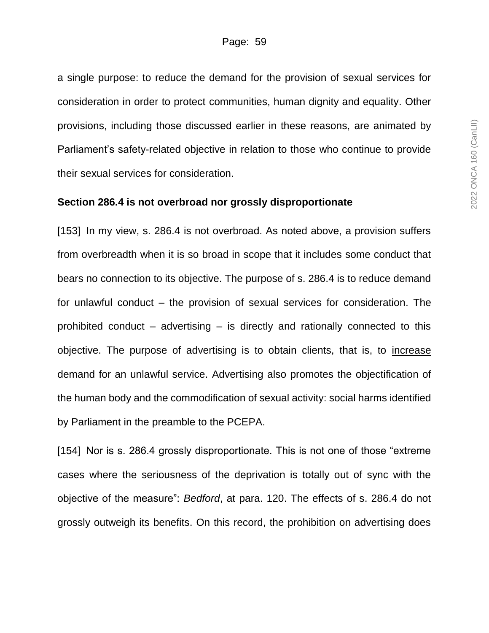a single purpose: to reduce the demand for the provision of sexual services for consideration in order to protect communities, human dignity and equality. Other provisions, including those discussed earlier in these reasons, are animated by Parliament's safety-related objective in relation to those who continue to provide their sexual services for consideration.

#### **Section 286.4 is not overbroad nor grossly disproportionate**

[153] In my view, s. 286.4 is not overbroad. As noted above, a provision suffers from overbreadth when it is so broad in scope that it includes some conduct that bears no connection to its objective. The purpose of s. 286.4 is to reduce demand for unlawful conduct – the provision of sexual services for consideration. The prohibited conduct – advertising – is directly and rationally connected to this objective. The purpose of advertising is to obtain clients, that is, to increase demand for an unlawful service. Advertising also promotes the objectification of the human body and the commodification of sexual activity: social harms identified by Parliament in the preamble to the PCEPA.

[154] Nor is s. 286.4 grossly disproportionate. This is not one of those "extreme cases where the seriousness of the deprivation is totally out of sync with the objective of the measure": *Bedford*, at para. 120. The effects of s. 286.4 do not grossly outweigh its benefits. On this record, the prohibition on advertising does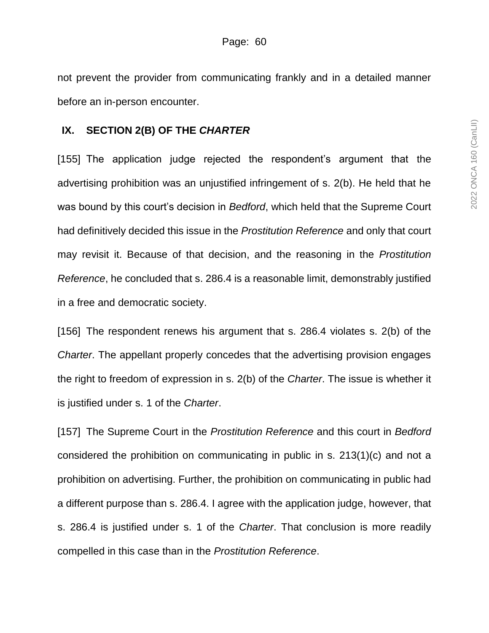not prevent the provider from communicating frankly and in a detailed manner before an in-person encounter.

### **IX. SECTION 2(B) OF THE** *CHARTER*

[155] The application judge rejected the respondent's argument that the advertising prohibition was an unjustified infringement of s. 2(b). He held that he was bound by this court's decision in *Bedford*, which held that the Supreme Court had definitively decided this issue in the *Prostitution Reference* and only that court may revisit it. Because of that decision, and the reasoning in the *Prostitution Reference*, he concluded that s. 286.4 is a reasonable limit, demonstrably justified in a free and democratic society.

[156] The respondent renews his argument that s. 286.4 violates s. 2(b) of the *Charter*. The appellant properly concedes that the advertising provision engages the right to freedom of expression in s. 2(b) of the *Charter*. The issue is whether it is justified under s. 1 of the *Charter*.

[157] The Supreme Court in the *Prostitution Reference* and this court in *Bedford* considered the prohibition on communicating in public in s. 213(1)(c) and not a prohibition on advertising. Further, the prohibition on communicating in public had a different purpose than s. 286.4. I agree with the application judge, however, that s. 286.4 is justified under s. 1 of the *Charter*. That conclusion is more readily compelled in this case than in the *Prostitution Reference*.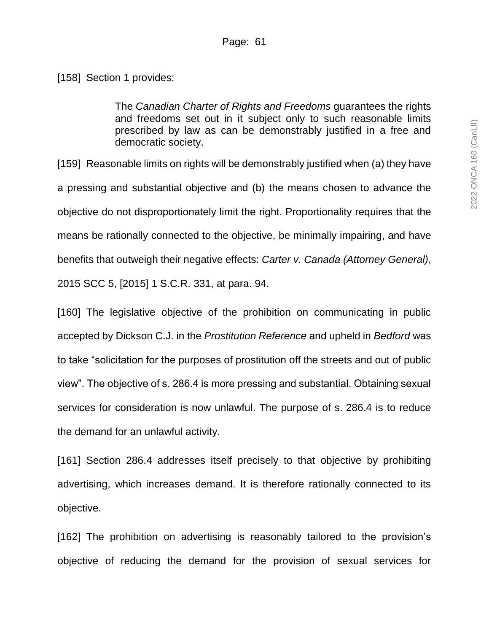[158] Section 1 provides:

The *Canadian Charter of Rights and Freedoms* guarantees the rights and freedoms set out in it subject only to such reasonable limits prescribed by law as can be demonstrably justified in a free and democratic society.

[159] Reasonable limits on rights will be demonstrably justified when (a) they have a pressing and substantial objective and (b) the means chosen to advance the objective do not disproportionately limit the right. Proportionality requires that the means be rationally connected to the objective, be minimally impairing, and have benefits that outweigh their negative effects: *Carter v. Canada (Attorney General)*, 2015 SCC 5, [2015] 1 S.C.R. 331, at para. 94.

[160] The legislative objective of the prohibition on communicating in public accepted by Dickson C.J. in the *Prostitution Reference* and upheld in *Bedford* was to take "solicitation for the purposes of prostitution off the streets and out of public view". The objective of s. 286.4 is more pressing and substantial. Obtaining sexual services for consideration is now unlawful. The purpose of s. 286.4 is to reduce the demand for an unlawful activity.

[161] Section 286.4 addresses itself precisely to that objective by prohibiting advertising, which increases demand. It is therefore rationally connected to its objective.

[162] The prohibition on advertising is reasonably tailored to the provision's objective of reducing the demand for the provision of sexual services for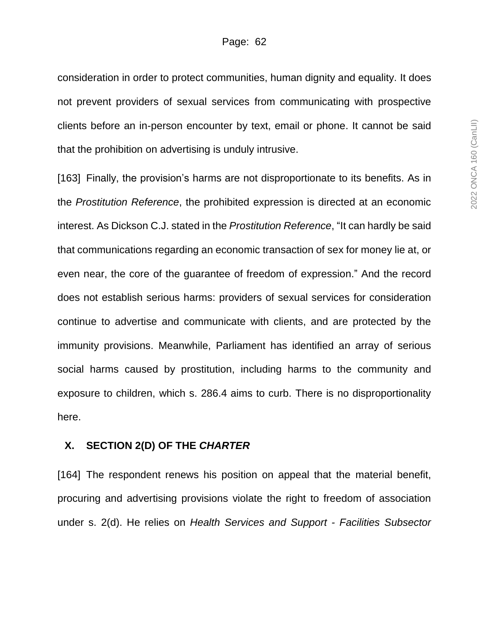consideration in order to protect communities, human dignity and equality. It does not prevent providers of sexual services from communicating with prospective clients before an in-person encounter by text, email or phone. It cannot be said that the prohibition on advertising is unduly intrusive.

[163] Finally, the provision's harms are not disproportionate to its benefits. As in the *Prostitution Reference*, the prohibited expression is directed at an economic interest. As Dickson C.J. stated in the *Prostitution Reference*, "It can hardly be said that communications regarding an economic transaction of sex for money lie at, or even near, the core of the guarantee of freedom of expression." And the record does not establish serious harms: providers of sexual services for consideration continue to advertise and communicate with clients, and are protected by the immunity provisions. Meanwhile, Parliament has identified an array of serious social harms caused by prostitution, including harms to the community and exposure to children, which s. 286.4 aims to curb. There is no disproportionality here.

### **X. SECTION 2(D) OF THE** *CHARTER*

[164] The respondent renews his position on appeal that the material benefit, procuring and advertising provisions violate the right to freedom of association under s. 2(d). He relies on *Health Services and Support - Facilities Subsector*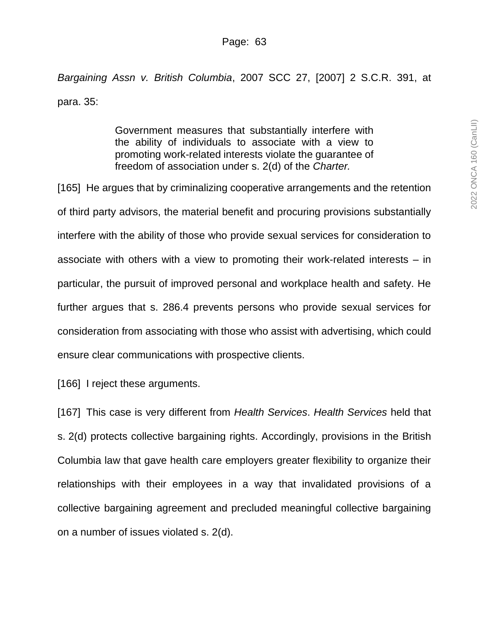*Bargaining Assn v. British Columbia*, 2007 SCC 27, [2007] 2 S.C.R. 391, at para. 35:

> Government measures that substantially interfere with the ability of individuals to associate with a view to promoting work-related interests violate the guarantee of freedom of association under s. 2(d) of the *Charter.*

[165] He argues that by criminalizing cooperative arrangements and the retention of third party advisors, the material benefit and procuring provisions substantially interfere with the ability of those who provide sexual services for consideration to associate with others with a view to promoting their work-related interests – in particular, the pursuit of improved personal and workplace health and safety. He further argues that s. 286.4 prevents persons who provide sexual services for consideration from associating with those who assist with advertising, which could ensure clear communications with prospective clients.

[166] I reject these arguments.

[167] This case is very different from *Health Services*. *Health Services* held that s. 2(d) protects collective bargaining rights. Accordingly, provisions in the British Columbia law that gave health care employers greater flexibility to organize their relationships with their employees in a way that invalidated provisions of a collective bargaining agreement and precluded meaningful collective bargaining on a number of issues violated s. 2(d).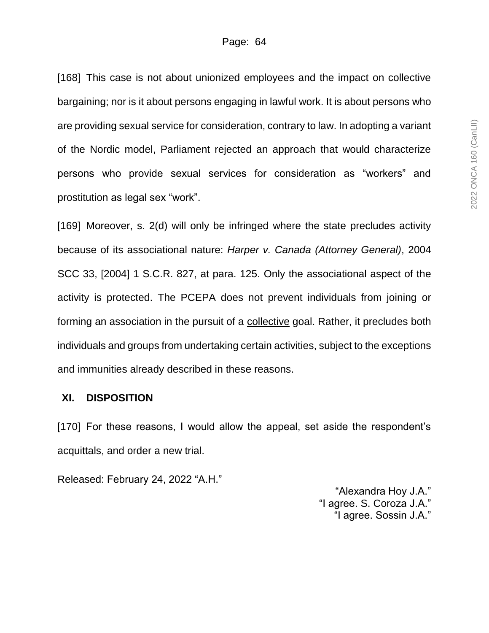[168] This case is not about unionized employees and the impact on collective bargaining; nor is it about persons engaging in lawful work. It is about persons who are providing sexual service for consideration, contrary to law. In adopting a variant of the Nordic model, Parliament rejected an approach that would characterize persons who provide sexual services for consideration as "workers" and prostitution as legal sex "work".

[169] Moreover, s. 2(d) will only be infringed where the state precludes activity because of its associational nature: *Harper v. Canada (Attorney General)*, 2004 SCC 33, [2004] 1 S.C.R. 827, at para. 125. Only the associational aspect of the activity is protected. The PCEPA does not prevent individuals from joining or forming an association in the pursuit of a collective goal. Rather, it precludes both individuals and groups from undertaking certain activities, subject to the exceptions and immunities already described in these reasons.

### **XI. DISPOSITION**

[170] For these reasons, I would allow the appeal, set aside the respondent's acquittals, and order a new trial.

Released: February 24, 2022 "A.H."

"Alexandra Hoy J.A." "I agree. S. Coroza J.A." "I agree. Sossin J.A."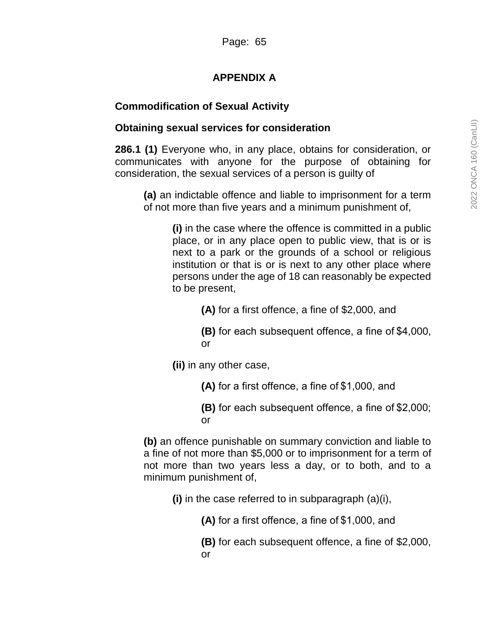# **APPENDIX A**

# **Commodification of Sexual Activity**

# **Obtaining sexual services for consideration**

**286.1 (1)** Everyone who, in any place, obtains for consideration, or communicates with anyone for the purpose of obtaining for consideration, the sexual services of a person is guilty of

**(a)** an indictable offence and liable to imprisonment for a term of not more than five years and a minimum punishment of,

**(i)** in the case where the offence is committed in a public place, or in any place open to public view, that is or is next to a park or the grounds of a school or religious institution or that is or is next to any other place where persons under the age of 18 can reasonably be expected to be present,

**(A)** for a first offence, a fine of \$2,000, and

**(B)** for each subsequent offence, a fine of \$4,000, or

**(ii)** in any other case,

**(A)** for a first offence, a fine of \$1,000, and

**(B)** for each subsequent offence, a fine of \$2,000; or

**(b)** an offence punishable on summary conviction and liable to a fine of not more than \$5,000 or to imprisonment for a term of not more than two years less a day, or to both, and to a minimum punishment of,

**(i)** in the case referred to in subparagraph (a)(i),

**(A)** for a first offence, a fine of \$1,000, and

**(B)** for each subsequent offence, a fine of \$2,000, or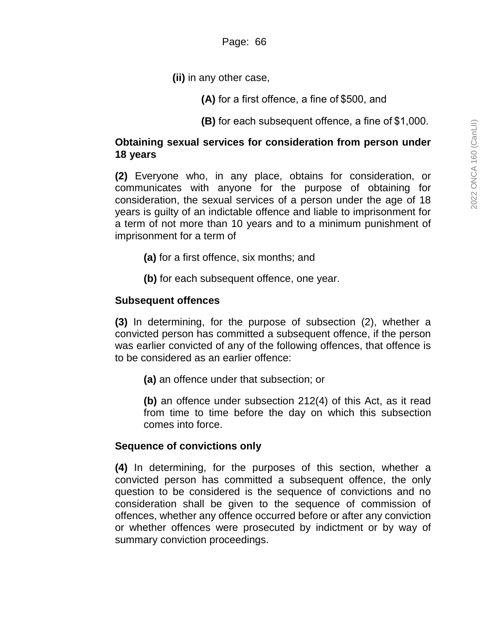**(ii)** in any other case,

**(A)** for a first offence, a fine of \$500, and

**(B)** for each subsequent offence, a fine of \$1,000.

## **Obtaining sexual services for consideration from person under 18 years**

**(2)** Everyone who, in any place, obtains for consideration, or communicates with anyone for the purpose of obtaining for consideration, the sexual services of a person under the age of 18 years is guilty of an indictable offence and liable to imprisonment for a term of not more than 10 years and to a minimum punishment of imprisonment for a term of

**(a)** for a first offence, six months; and

**(b)** for each subsequent offence, one year.

# **Subsequent offences**

**(3)** In determining, for the purpose of subsection (2), whether a convicted person has committed a subsequent offence, if the person was earlier convicted of any of the following offences, that offence is to be considered as an earlier offence:

**(a)** an offence under that subsection; or

**(b)** an offence under subsection 212(4) of this Act, as it read from time to time before the day on which this subsection comes into force.

# **Sequence of convictions only**

**(4)** In determining, for the purposes of this section, whether a convicted person has committed a subsequent offence, the only question to be considered is the sequence of convictions and no consideration shall be given to the sequence of commission of offences, whether any offence occurred before or after any conviction or whether offences were prosecuted by indictment or by way of summary conviction proceedings.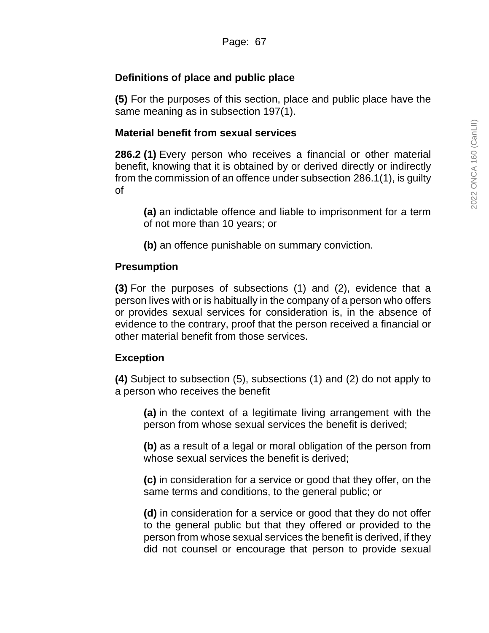# **Definitions of place and public place**

**(5)** For the purposes of this section, place and public place have the same meaning as in subsection 197(1).

# **Material benefit from sexual services**

**286.2 (1)** Every person who receives a financial or other material benefit, knowing that it is obtained by or derived directly or indirectly from the commission of an offence under subsection 286.1(1), is guilty of

**(a)** an indictable offence and liable to imprisonment for a term of not more than 10 years; or

**(b)** an offence punishable on summary conviction.

# **Presumption**

**(3)** For the purposes of subsections (1) and (2), evidence that a person lives with or is habitually in the company of a person who offers or provides sexual services for consideration is, in the absence of evidence to the contrary, proof that the person received a financial or other material benefit from those services.

## **Exception**

**(4)** Subject to subsection (5), subsections (1) and (2) do not apply to a person who receives the benefit

**(a)** in the context of a legitimate living arrangement with the person from whose sexual services the benefit is derived;

**(b)** as a result of a legal or moral obligation of the person from whose sexual services the benefit is derived;

**(c)** in consideration for a service or good that they offer, on the same terms and conditions, to the general public; or

**(d)** in consideration for a service or good that they do not offer to the general public but that they offered or provided to the person from whose sexual services the benefit is derived, if they did not counsel or encourage that person to provide sexual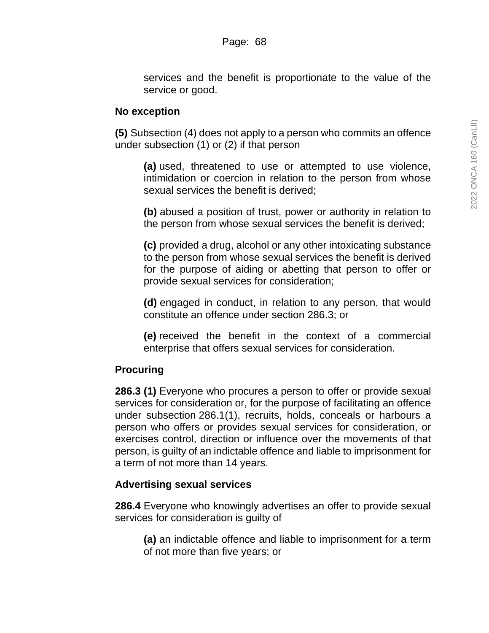services and the benefit is proportionate to the value of the service or good.

### **No exception**

**(5)** Subsection (4) does not apply to a person who commits an offence under subsection (1) or (2) if that person

**(a)** used, threatened to use or attempted to use violence, intimidation or coercion in relation to the person from whose sexual services the benefit is derived;

**(b)** abused a position of trust, power or authority in relation to the person from whose sexual services the benefit is derived;

**(c)** provided a drug, alcohol or any other intoxicating substance to the person from whose sexual services the benefit is derived for the purpose of aiding or abetting that person to offer or provide sexual services for consideration;

**(d)** engaged in conduct, in relation to any person, that would constitute an offence under section 286.3; or

**(e)** received the benefit in the context of a commercial enterprise that offers sexual services for consideration.

## **Procuring**

**286.3 (1)** Everyone who procures a person to offer or provide sexual services for consideration or, for the purpose of facilitating an offence under subsection 286.1(1), recruits, holds, conceals or harbours a person who offers or provides sexual services for consideration, or exercises control, direction or influence over the movements of that person, is guilty of an indictable offence and liable to imprisonment for a term of not more than 14 years.

## **Advertising sexual services**

**286.4** Everyone who knowingly advertises an offer to provide sexual services for consideration is guilty of

**(a)** an indictable offence and liable to imprisonment for a term of not more than five years; or